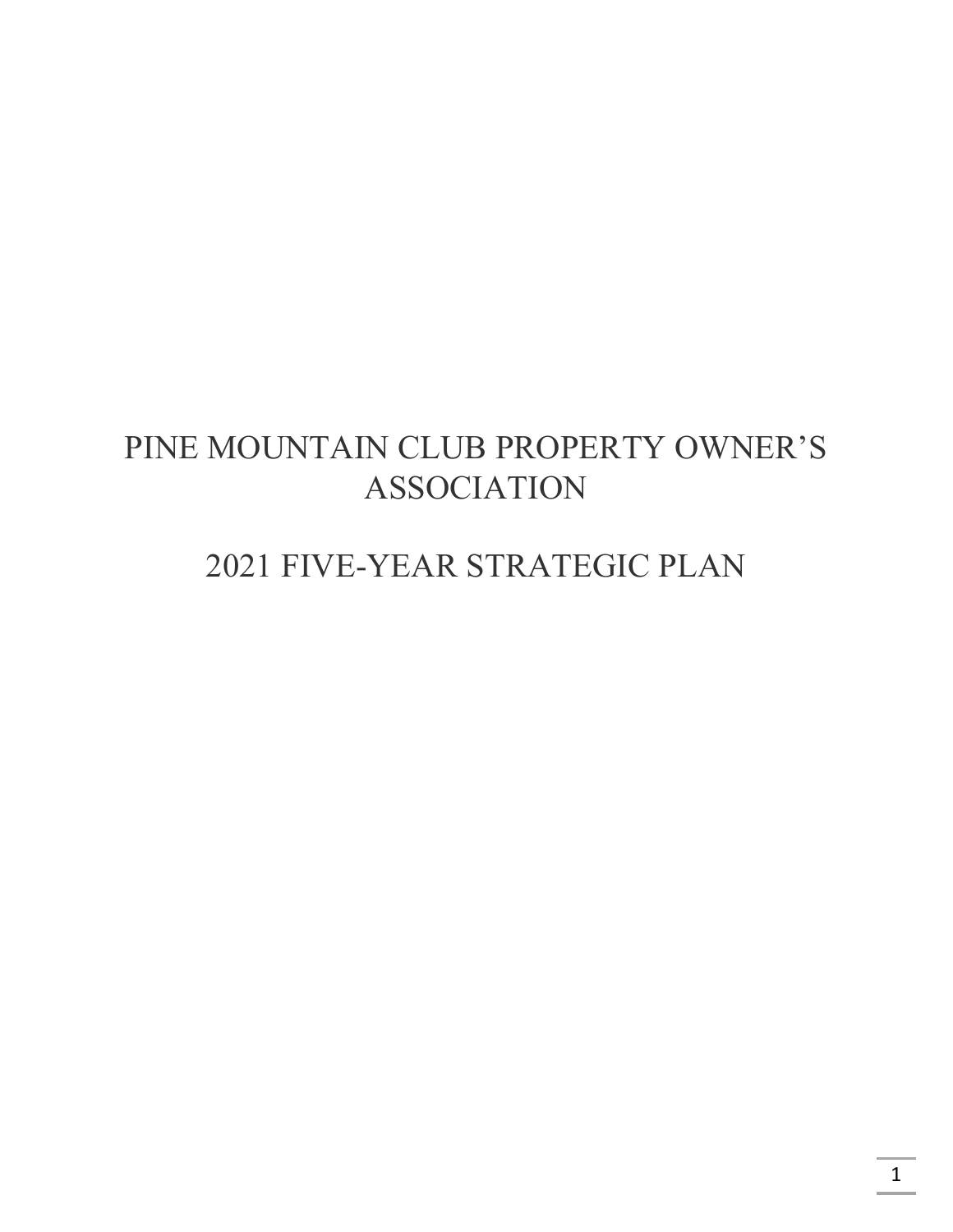# PINE MOUNTAIN CLUB PROPERTY OWNER'S ASSOCIATION

# 2021 FIVE-YEAR STRATEGIC PLAN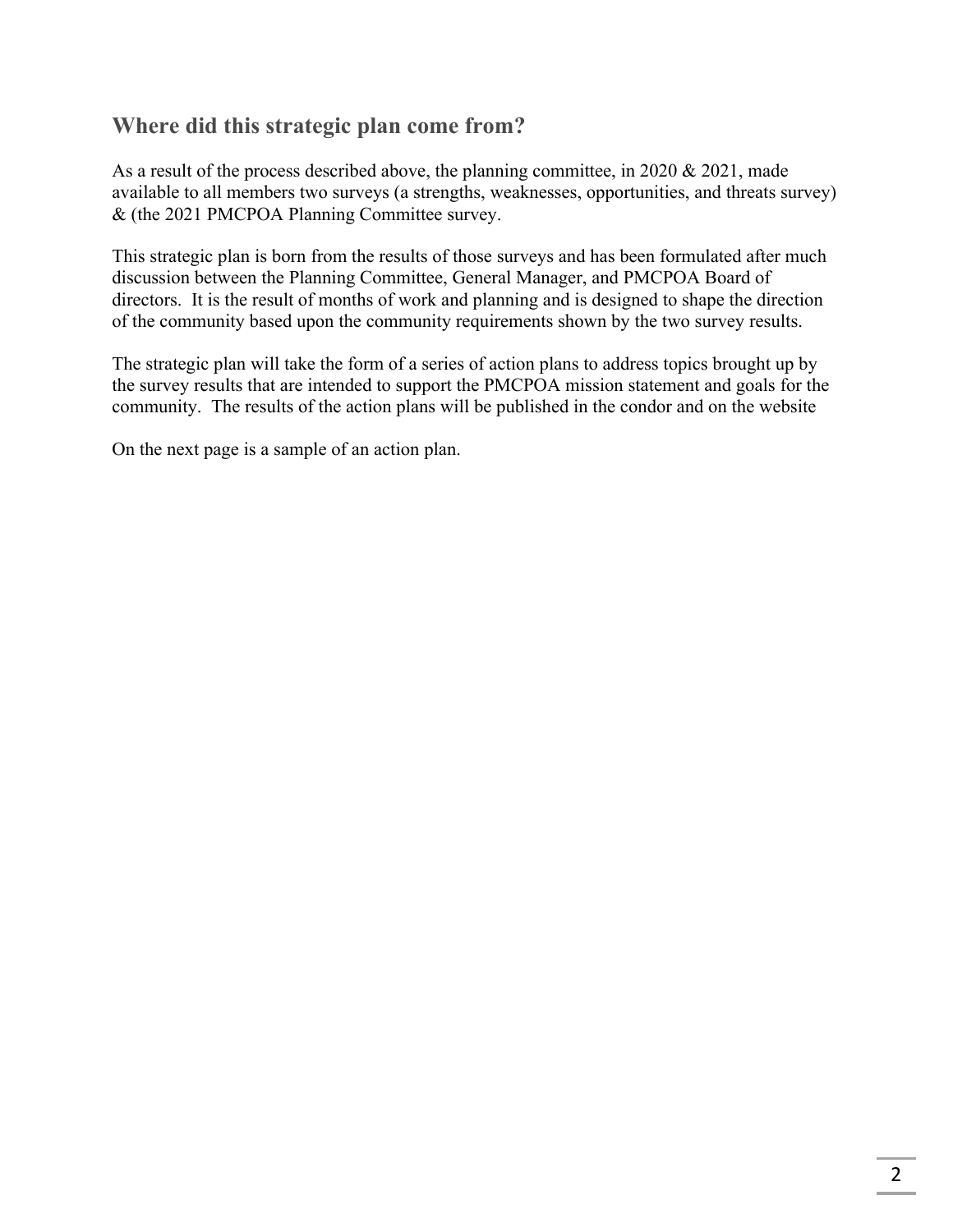# **Where did this strategic plan come from?**

As a result of the process described above, the planning committee, in 2020 & 2021, made available to all members two surveys (a strengths, weaknesses, opportunities, and threats survey) & (the 2021 PMCPOA Planning Committee survey.

This strategic plan is born from the results of those surveys and has been formulated after much discussion between the Planning Committee, General Manager, and PMCPOA Board of directors. It is the result of months of work and planning and is designed to shape the direction of the community based upon the community requirements shown by the two survey results.

The strategic plan will take the form of a series of action plans to address topics brought up by the survey results that are intended to support the PMCPOA mission statement and goals for the community. The results of the action plans will be published in the condor and on the website

On the next page is a sample of an action plan.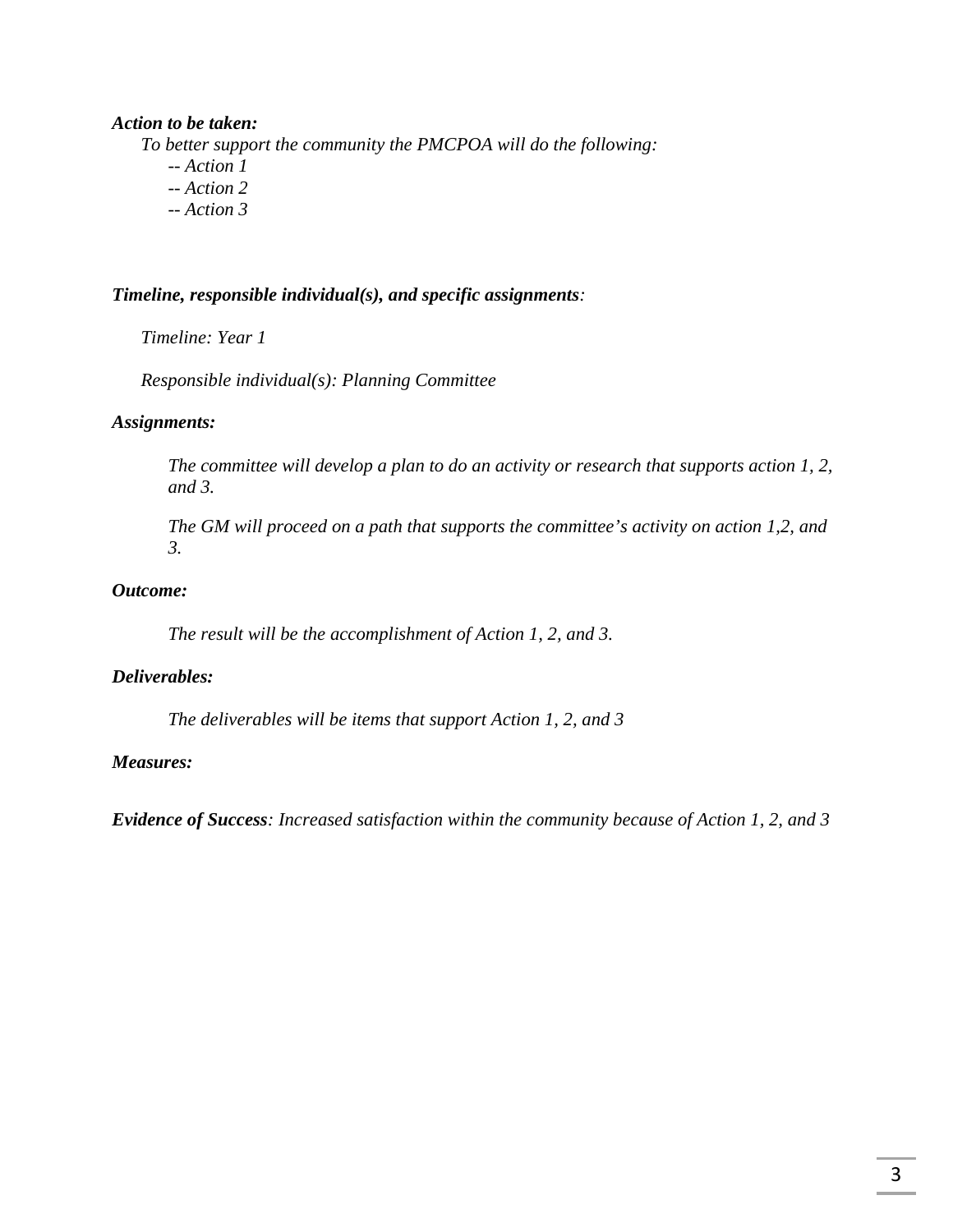#### *Action to be taken:*

*To better support the community the PMCPOA will do the following:* 

- *-- Action 1*
- *-- Action 2*
- *-- Action 3*

#### *Timeline, responsible individual(s), and specific assignments:*

*Timeline: Year 1* 

*Responsible individual(s): Planning Committee* 

#### *Assignments:*

*The committee will develop a plan to do an activity or research that supports action 1, 2, and 3.* 

*The GM will proceed on a path that supports the committee's activity on action 1,2, and 3.*

#### *Outcome:*

*The result will be the accomplishment of Action 1, 2, and 3.* 

#### *Deliverables:*

 *The deliverables will be items that support Action 1, 2, and 3* 

#### *Measures:*

*Evidence of Success: Increased satisfaction within the community because of Action 1, 2, and 3*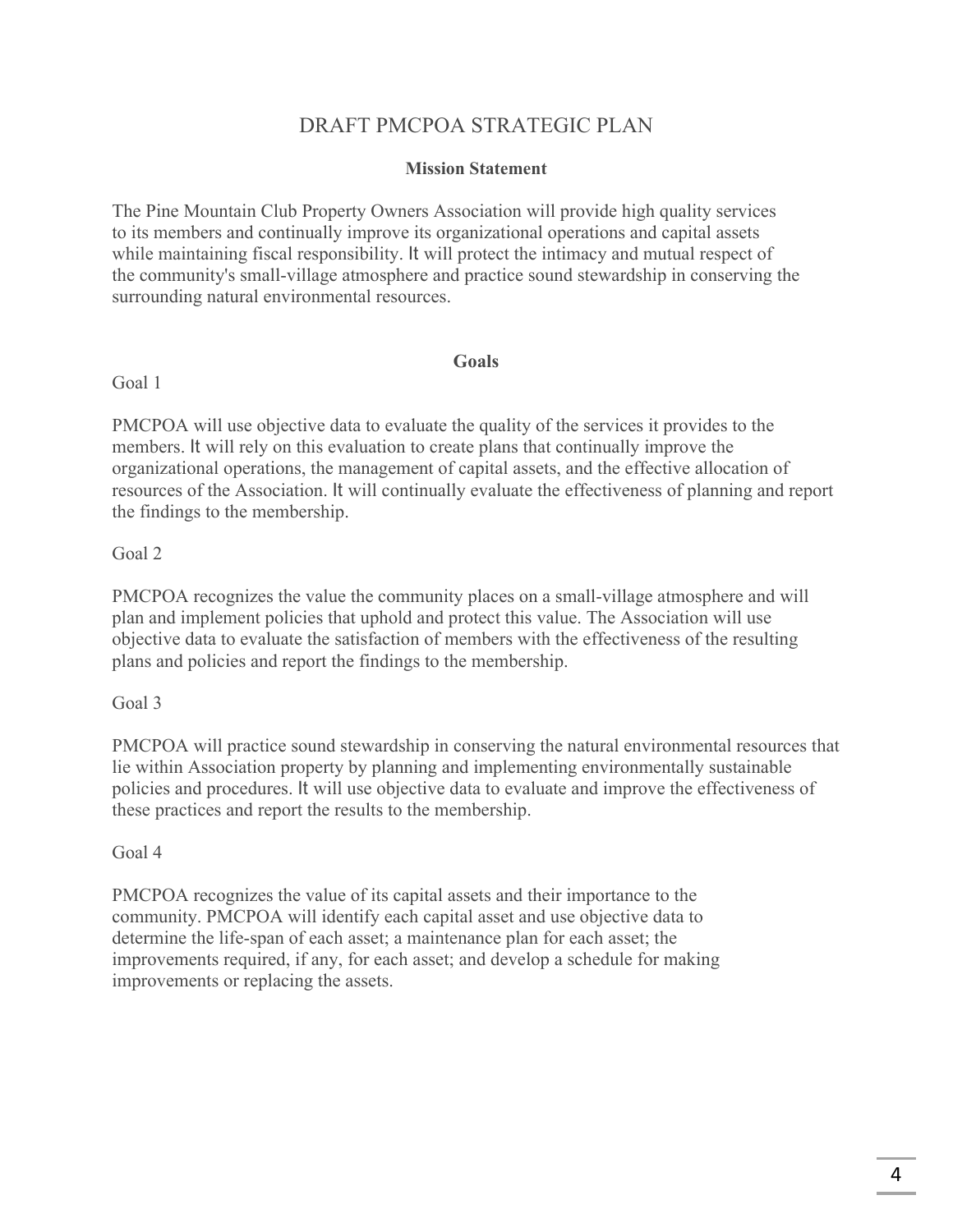# DRAFT PMCPOA STRATEGIC PLAN

#### **Mission Statement**

The Pine Mountain Club Property Owners Association will provide high quality services to its members and continually improve its organizational operations and capital assets while maintaining fiscal responsibility. It will protect the intimacy and mutual respect of the community's small-village atmosphere and practice sound stewardship in conserving the surrounding natural environmental resources.

## **Goals**

Goal 1

PMCPOA will use objective data to evaluate the quality of the services it provides to the members. It will rely on this evaluation to create plans that continually improve the organizational operations, the management of capital assets, and the effective allocation of resources of the Association. It will continually evaluate the effectiveness of planning and report the findings to the membership.

## Goal 2

PMCPOA recognizes the value the community places on a small-village atmosphere and will plan and implement policies that uphold and protect this value. The Association will use objective data to evaluate the satisfaction of members with the effectiveness of the resulting plans and policies and report the findings to the membership.

Goal 3

PMCPOA will practice sound stewardship in conserving the natural environmental resources that lie within Association property by planning and implementing environmentally sustainable policies and procedures. It will use objective data to evaluate and improve the effectiveness of these practices and report the results to the membership.

## Goal 4

PMCPOA recognizes the value of its capital assets and their importance to the community. PMCPOA will identify each capital asset and use objective data to determine the life-span of each asset; a maintenance plan for each asset; the improvements required, if any, for each asset; and develop a schedule for making improvements or replacing the assets.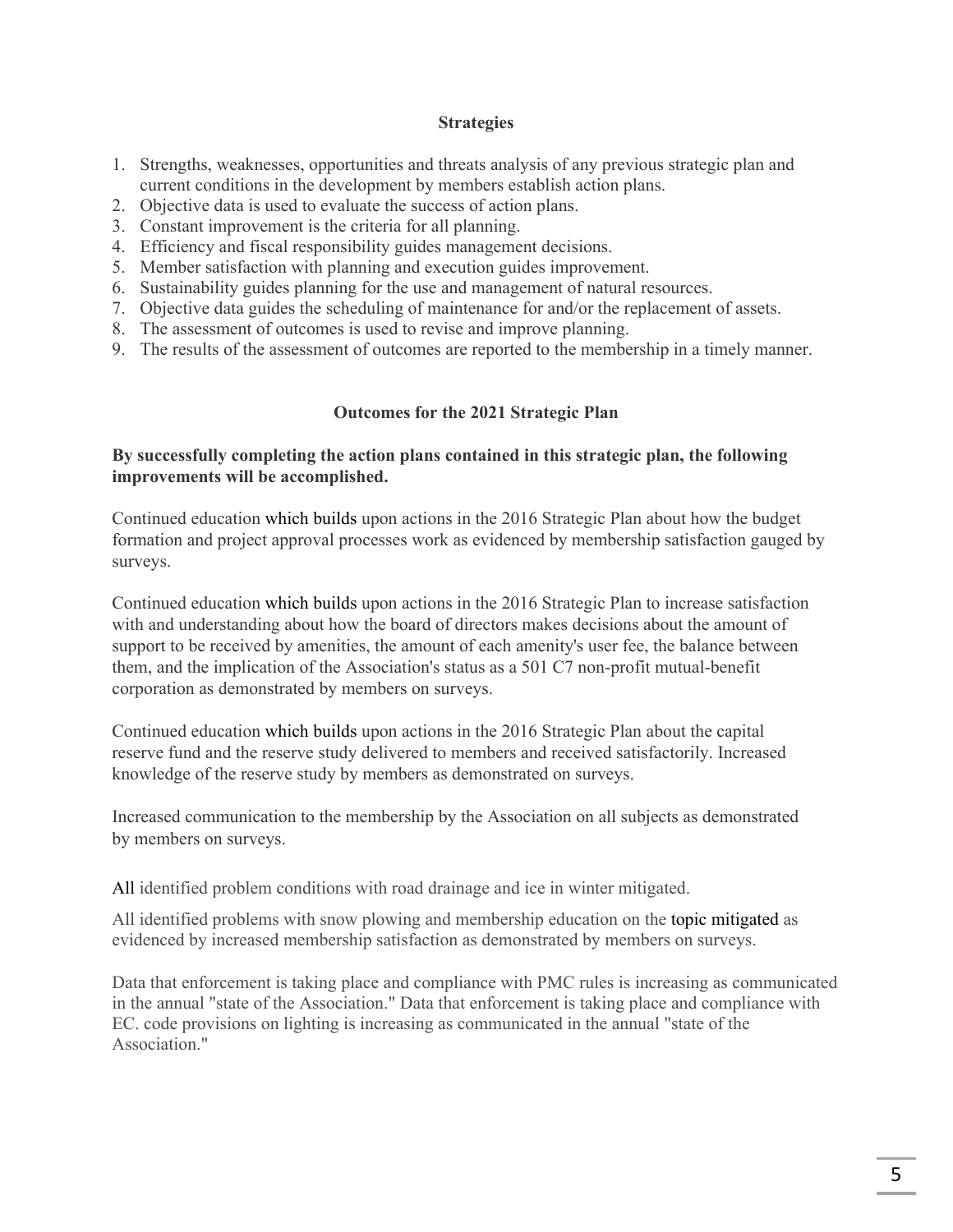#### **Strategies**

- 1. Strengths, weaknesses, opportunities and threats analysis of any previous strategic plan and current conditions in the development by members establish action plans.
- 2. Objective data is used to evaluate the success of action plans.
- 3. Constant improvement is the criteria for all planning.
- 4. Efficiency and fiscal responsibility guides management decisions.
- 5. Member satisfaction with planning and execution guides improvement.
- 6. Sustainability guides planning for the use and management of natural resources.
- 7. Objective data guides the scheduling of maintenance for and/or the replacement of assets.
- 8. The assessment of outcomes is used to revise and improve planning.
- 9. The results of the assessment of outcomes are reported to the membership in a timely manner.

#### **Outcomes for the 2021 Strategic Plan**

## **By successfully completing the action plans contained in this strategic plan, the following improvements will be accomplished.**

Continued education which builds upon actions in the 2016 Strategic Plan about how the budget formation and project approval processes work as evidenced by membership satisfaction gauged by surveys.

Continued education which builds upon actions in the 2016 Strategic Plan to increase satisfaction with and understanding about how the board of directors makes decisions about the amount of support to be received by amenities, the amount of each amenity's user fee, the balance between them, and the implication of the Association's status as a 501 C7 non-profit mutual-benefit corporation as demonstrated by members on surveys.

Continued education which builds upon actions in the 2016 Strategic Plan about the capital reserve fund and the reserve study delivered to members and received satisfactorily. Increased knowledge of the reserve study by members as demonstrated on surveys.

Increased communication to the membership by the Association on all subjects as demonstrated by members on surveys.

All identified problem conditions with road drainage and ice in winter mitigated.

All identified problems with snow plowing and membership education on the topic mitigated as evidenced by increased membership satisfaction as demonstrated by members on surveys.

Data that enforcement is taking place and compliance with PMC rules is increasing as communicated in the annual "state of the Association." Data that enforcement is taking place and compliance with EC. code provisions on lighting is increasing as communicated in the annual "state of the Association."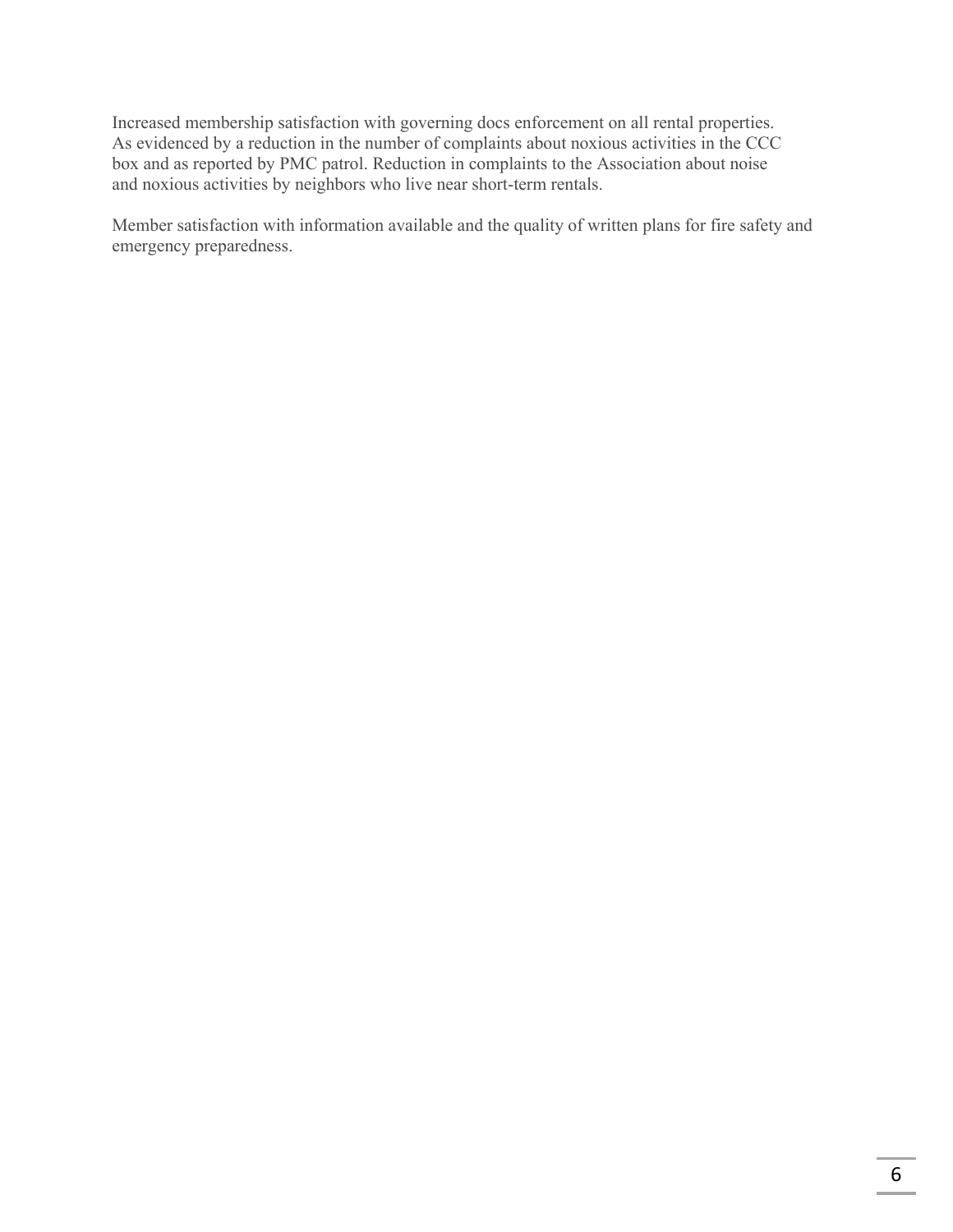Increased membership satisfaction with governing docs enforcement on all rental properties. As evidenced by a reduction in the number of complaints about noxious activities in the CCC box and as reported by PMC patrol. Reduction in complaints to the Association about noise and noxious activities by neighbors who live near short-term rentals.

Member satisfaction with information available and the quality of written plans for fire safety and emergency preparedness.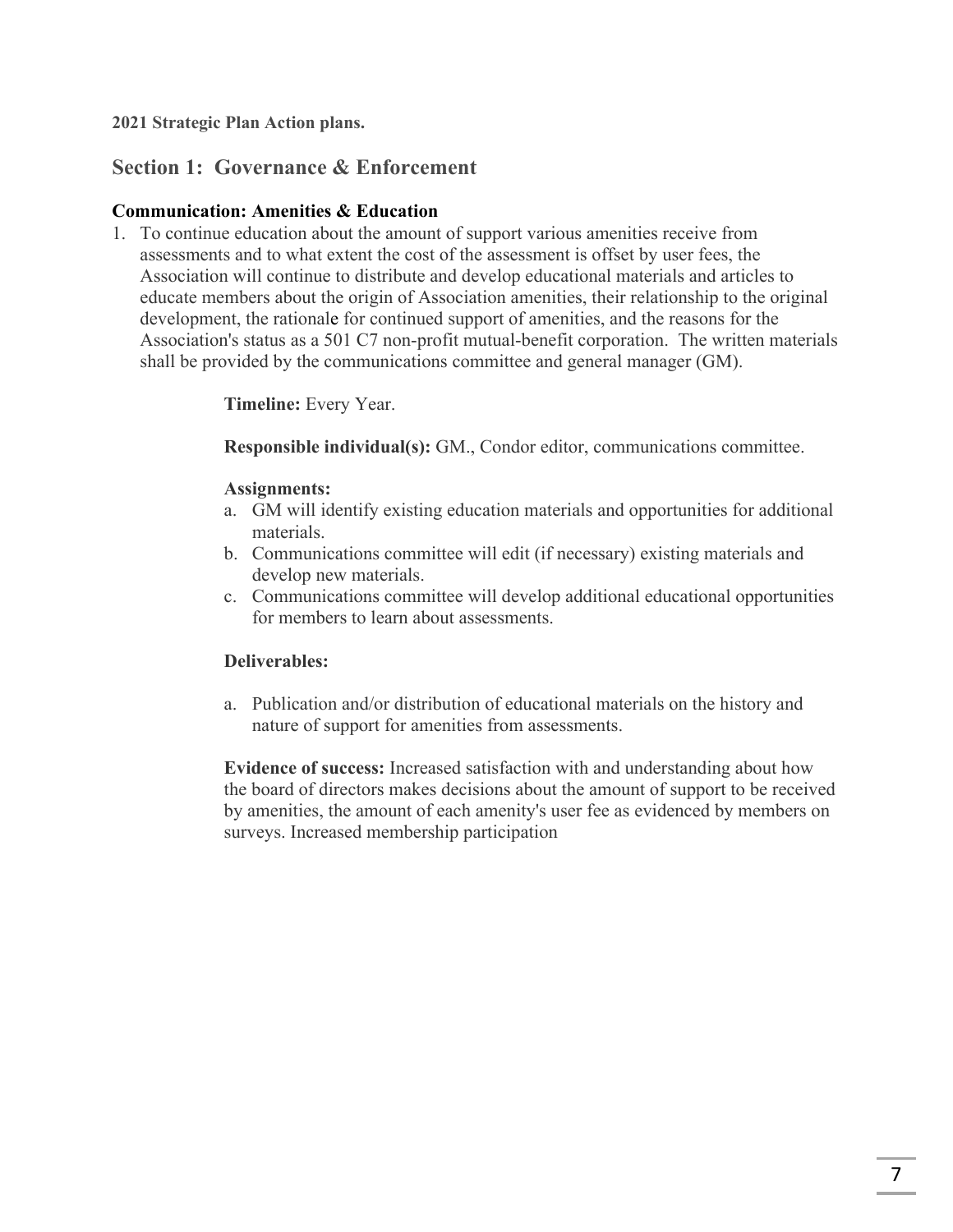**2021 Strategic Plan Action plans.**

# **Section 1: Governance & Enforcement**

## **Communication: Amenities & Education**

1. To continue education about the amount of support various amenities receive from assessments and to what extent the cost of the assessment is offset by user fees, the Association will continue to distribute and develop educational materials and articles to educate members about the origin of Association amenities, their relationship to the original development, the rationale for continued support of amenities, and the reasons for the Association's status as a 501 C7 non-profit mutual-benefit corporation. The written materials shall be provided by the communications committee and general manager (GM).

**Timeline:** Every Year.

**Responsible individual(s):** GM., Condor editor, communications committee.

## **Assignments:**

- a. GM will identify existing education materials and opportunities for additional materials.
- b. Communications committee will edit (if necessary) existing materials and develop new materials.
- c. Communications committee will develop additional educational opportunities for members to learn about assessments.

## **Deliverables:**

a. Publication and/or distribution of educational materials on the history and nature of support for amenities from assessments.

**Evidence of success:** Increased satisfaction with and understanding about how the board of directors makes decisions about the amount of support to be received by amenities, the amount of each amenity's user fee as evidenced by members on surveys. Increased membership participation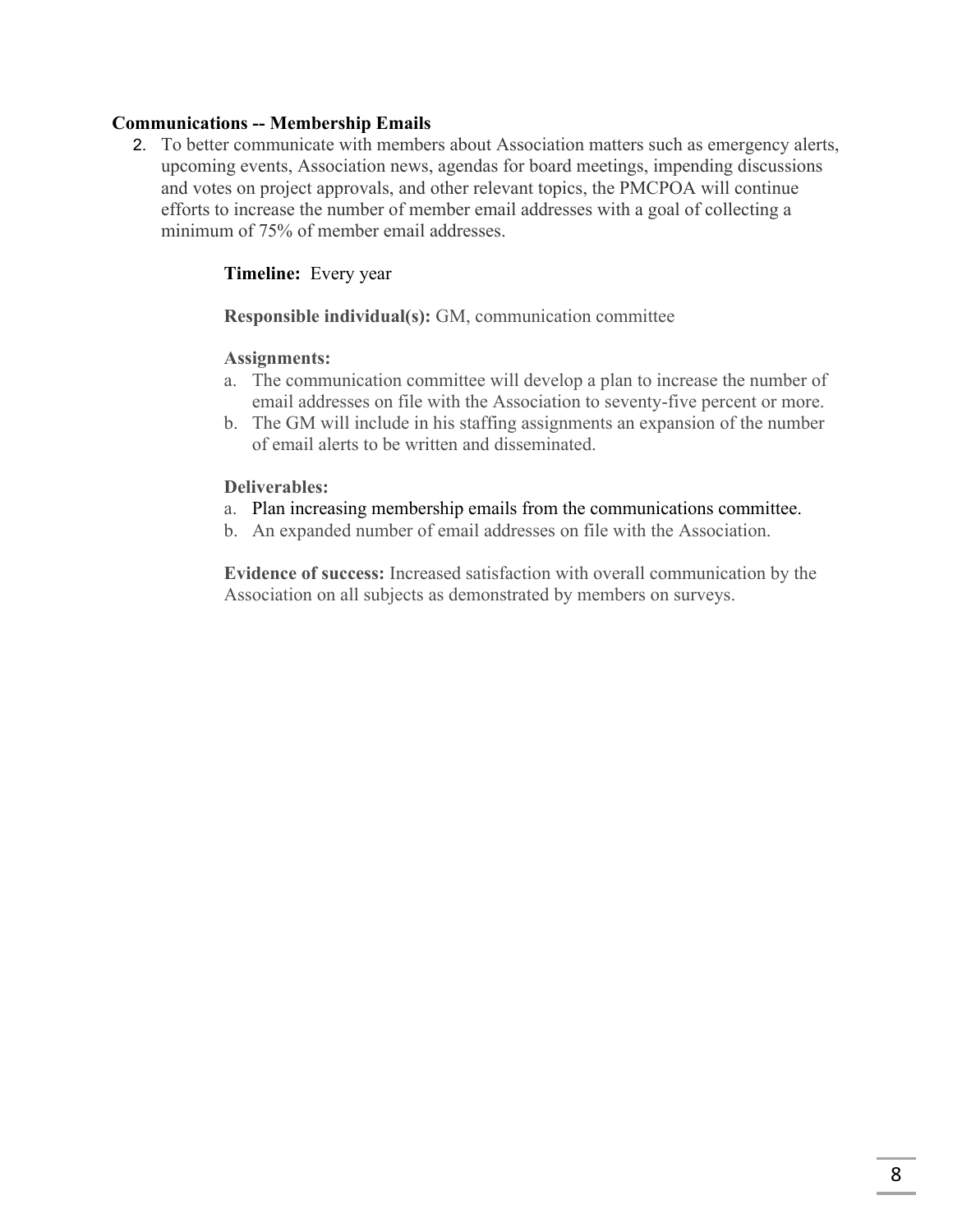## **Communications -- Membership Emails**

2. To better communicate with members about Association matters such as emergency alerts, upcoming events, Association news, agendas for board meetings, impending discussions and votes on project approvals, and other relevant topics, the PMCPOA will continue efforts to increase the number of member email addresses with a goal of collecting a minimum of 75% of member email addresses.

## **Timeline:** Every year

**Responsible individual(s):** GM, communication committee

#### **Assignments:**

- a. The communication committee will develop a plan to increase the number of email addresses on file with the Association to seventy-five percent or more.
- b. The GM will include in his staffing assignments an expansion of the number of email alerts to be written and disseminated.

#### **Deliverables:**

- a. Plan increasing membership emails from the communications committee.
- b. An expanded number of email addresses on file with the Association.

**Evidence of success:** Increased satisfaction with overall communication by the Association on all subjects as demonstrated by members on surveys.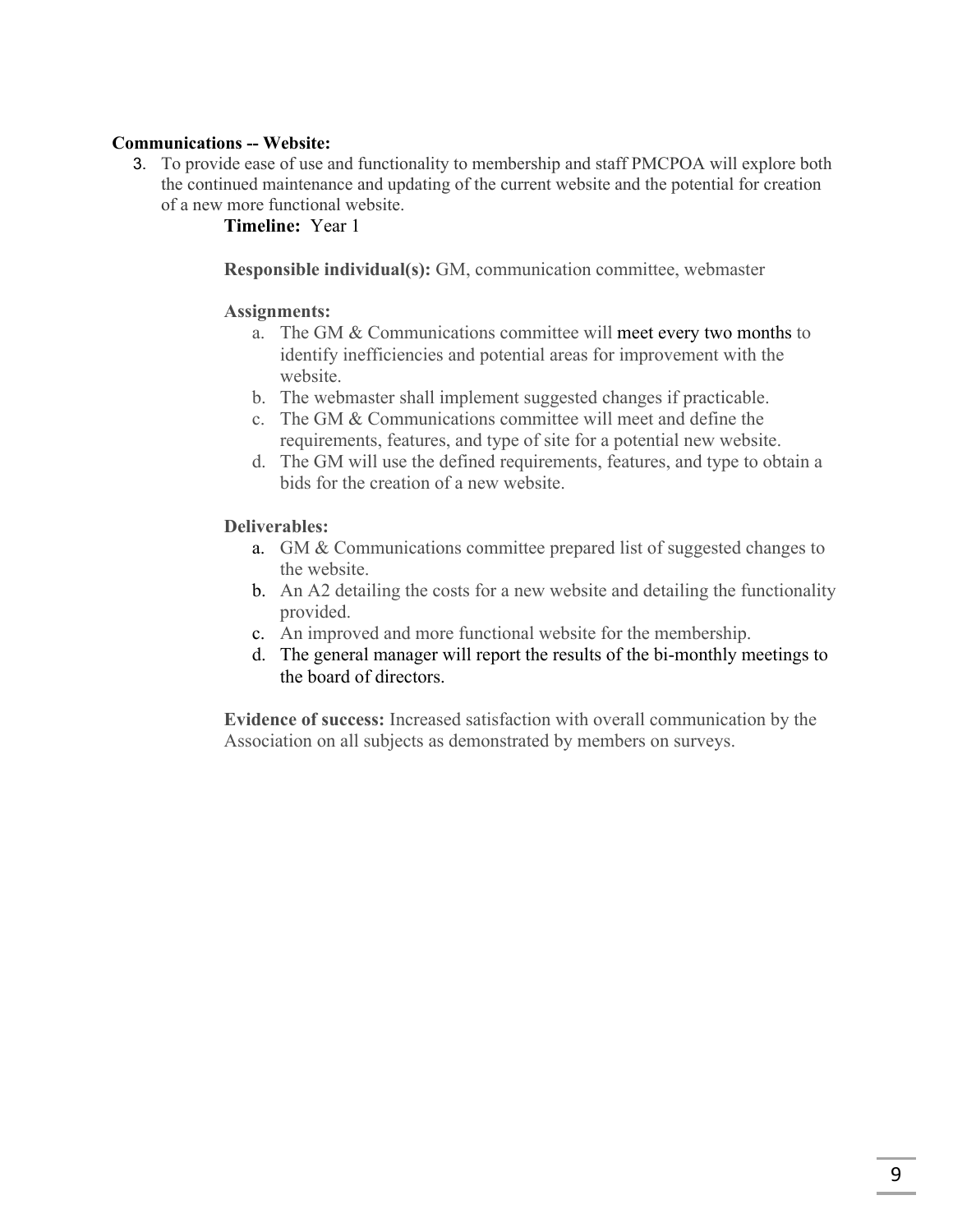## **Communications -- Website:**

3. To provide ease of use and functionality to membership and staff PMCPOA will explore both the continued maintenance and updating of the current website and the potential for creation of a new more functional website.

## **Timeline:** Year 1

**Responsible individual(s):** GM, communication committee, webmaster

#### **Assignments:**

- a. The GM & Communications committee will meet every two months to identify inefficiencies and potential areas for improvement with the website.
- b. The webmaster shall implement suggested changes if practicable.
- c. The GM & Communications committee will meet and define the requirements, features, and type of site for a potential new website.
- d. The GM will use the defined requirements, features, and type to obtain a bids for the creation of a new website.

#### **Deliverables:**

- a. GM & Communications committee prepared list of suggested changes to the website.
- b. An A2 detailing the costs for a new website and detailing the functionality provided.
- c. An improved and more functional website for the membership.
- d. The general manager will report the results of the bi-monthly meetings to the board of directors.

**Evidence of success:** Increased satisfaction with overall communication by the Association on all subjects as demonstrated by members on surveys.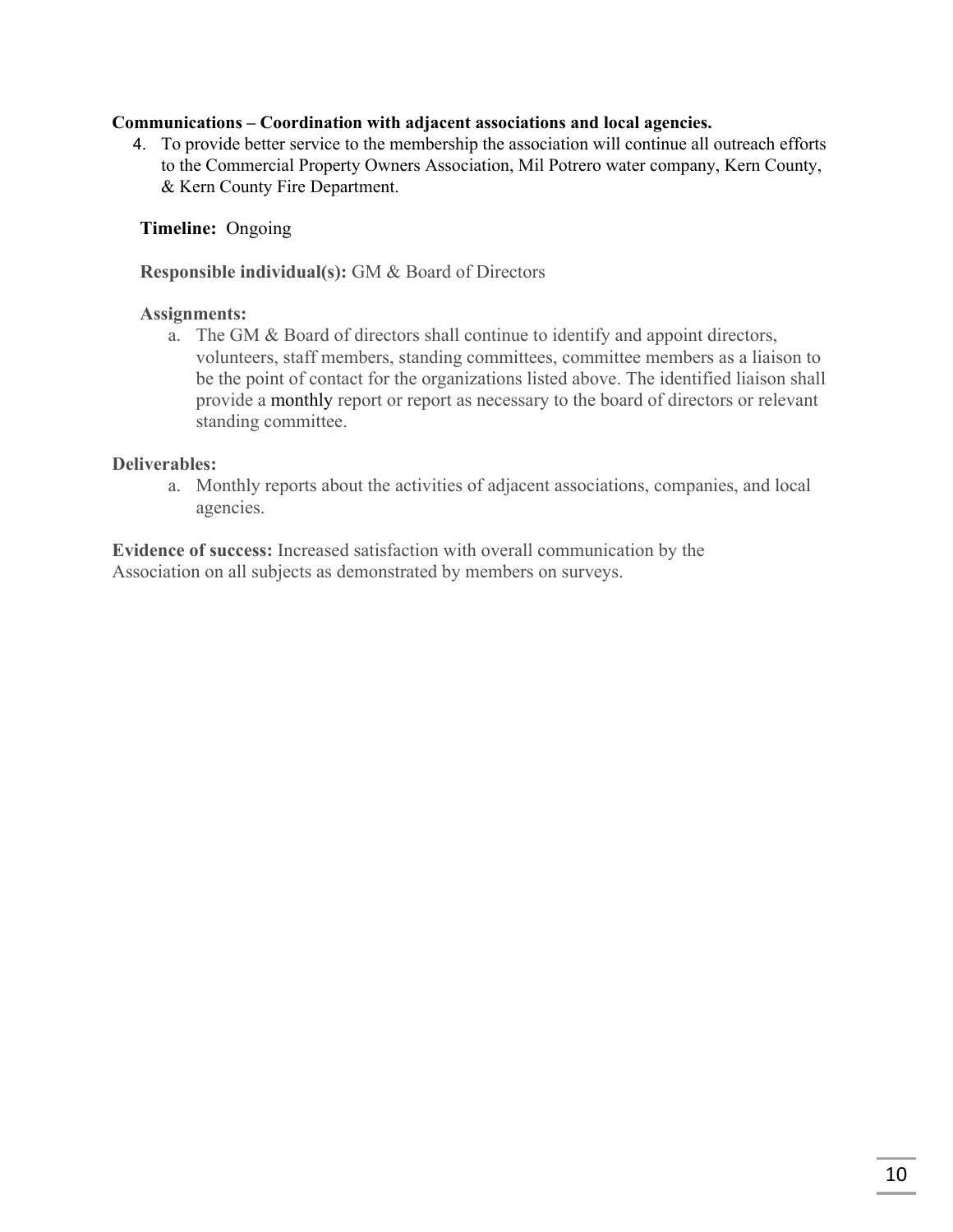#### **Communications – Coordination with adjacent associations and local agencies.**

4. To provide better service to the membership the association will continue all outreach efforts to the Commercial Property Owners Association, Mil Potrero water company, Kern County, & Kern County Fire Department.

#### **Timeline:** Ongoing

**Responsible individual(s):** GM & Board of Directors

#### **Assignments:**

a. The GM & Board of directors shall continue to identify and appoint directors, volunteers, staff members, standing committees, committee members as a liaison to be the point of contact for the organizations listed above. The identified liaison shall provide a monthly report or report as necessary to the board of directors or relevant standing committee.

#### **Deliverables:**

a. Monthly reports about the activities of adjacent associations, companies, and local agencies.

**Evidence of success:** Increased satisfaction with overall communication by the Association on all subjects as demonstrated by members on surveys.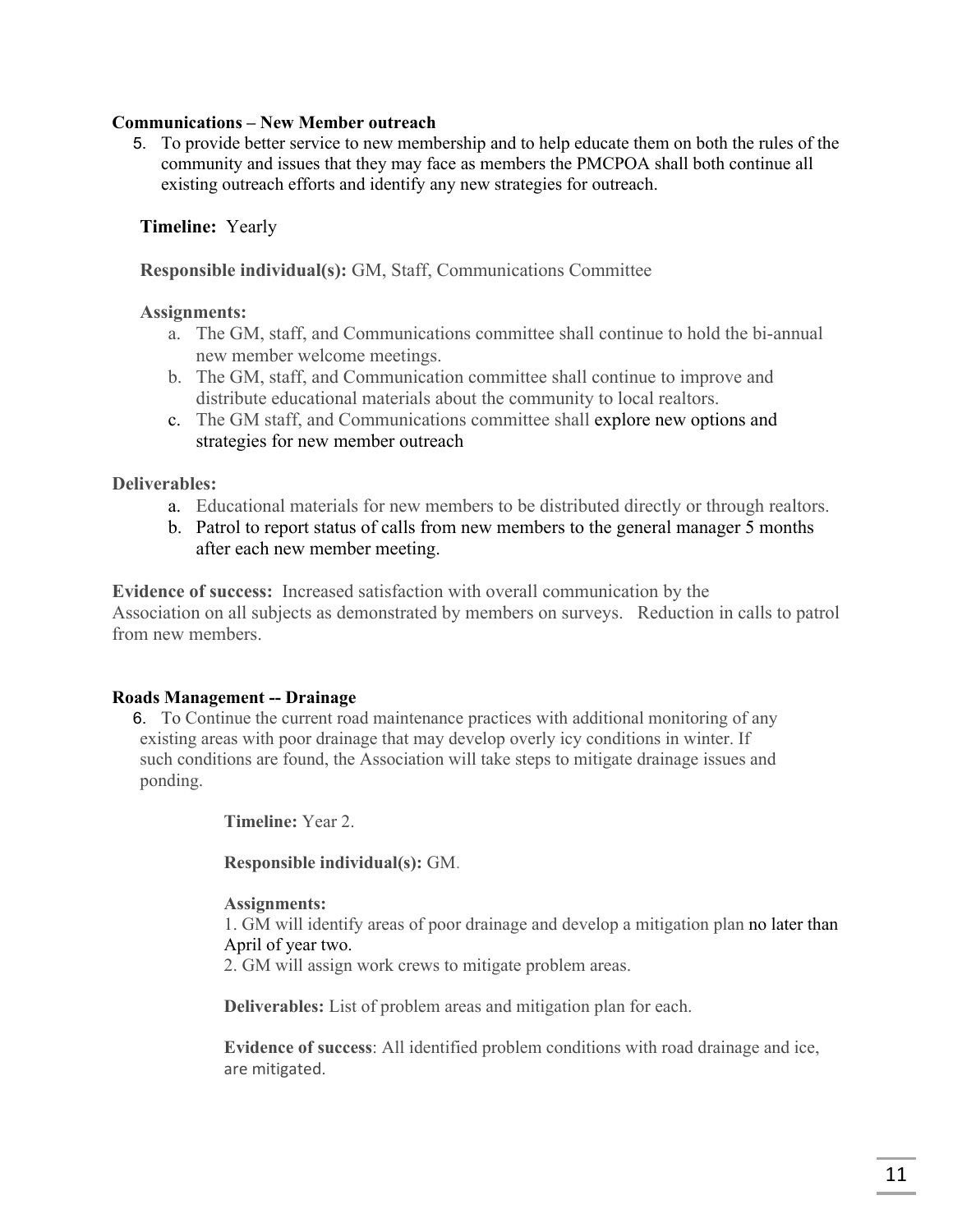#### **Communications – New Member outreach**

5. To provide better service to new membership and to help educate them on both the rules of the community and issues that they may face as members the PMCPOA shall both continue all existing outreach efforts and identify any new strategies for outreach.

### **Timeline:** Yearly

**Responsible individual(s):** GM, Staff, Communications Committee

#### **Assignments:**

- a. The GM, staff, and Communications committee shall continue to hold the bi-annual new member welcome meetings.
- b. The GM, staff, and Communication committee shall continue to improve and distribute educational materials about the community to local realtors.
- c. The GM staff, and Communications committee shall explore new options and strategies for new member outreach

#### **Deliverables:**

- a. Educational materials for new members to be distributed directly or through realtors.
- b. Patrol to report status of calls from new members to the general manager 5 months after each new member meeting.

**Evidence of success:** Increased satisfaction with overall communication by the Association on all subjects as demonstrated by members on surveys. Reduction in calls to patrol from new members.

#### **Roads Management -- Drainage**

6. To Continue the current road maintenance practices with additional monitoring of any existing areas with poor drainage that may develop overly icy conditions in winter. If such conditions are found, the Association will take steps to mitigate drainage issues and ponding.

**Timeline:** Year 2.

**Responsible individual(s):** GM.

#### **Assignments:**

1. GM will identify areas of poor drainage and develop a mitigation plan no later than April of year two.

2. GM will assign work crews to mitigate problem areas.

**Deliverables:** List of problem areas and mitigation plan for each.

**Evidence of success**: All identified problem conditions with road drainage and ice, are mitigated.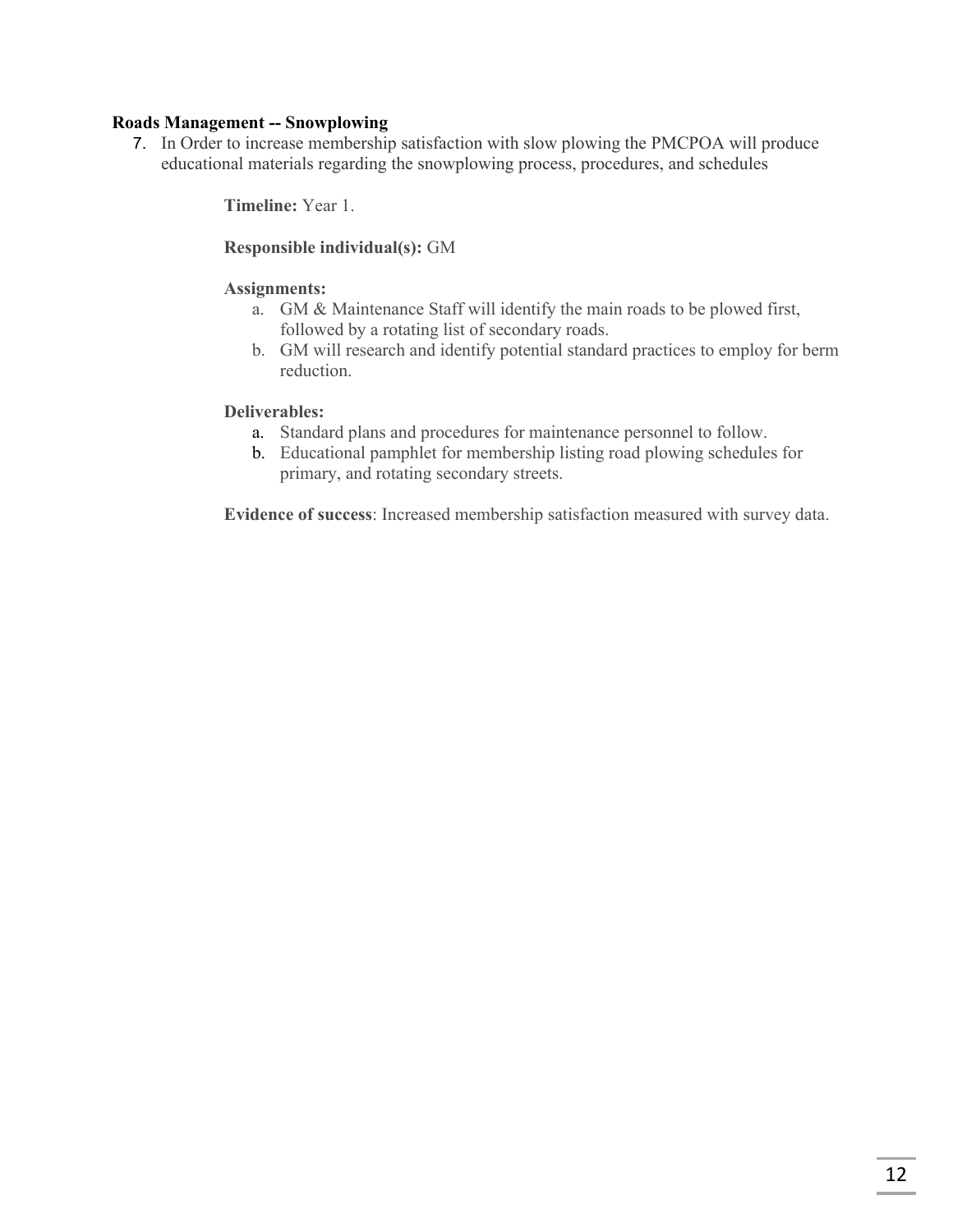#### **Roads Management -- Snowplowing**

7. In Order to increase membership satisfaction with slow plowing the PMCPOA will produce educational materials regarding the snowplowing process, procedures, and schedules

**Timeline:** Year 1.

#### **Responsible individual(s):** GM

#### **Assignments:**

- a. GM & Maintenance Staff will identify the main roads to be plowed first, followed by a rotating list of secondary roads.
- b. GM will research and identify potential standard practices to employ for berm reduction.

#### **Deliverables:**

- a. Standard plans and procedures for maintenance personnel to follow.
- b. Educational pamphlet for membership listing road plowing schedules for primary, and rotating secondary streets.

**Evidence of success**: Increased membership satisfaction measured with survey data.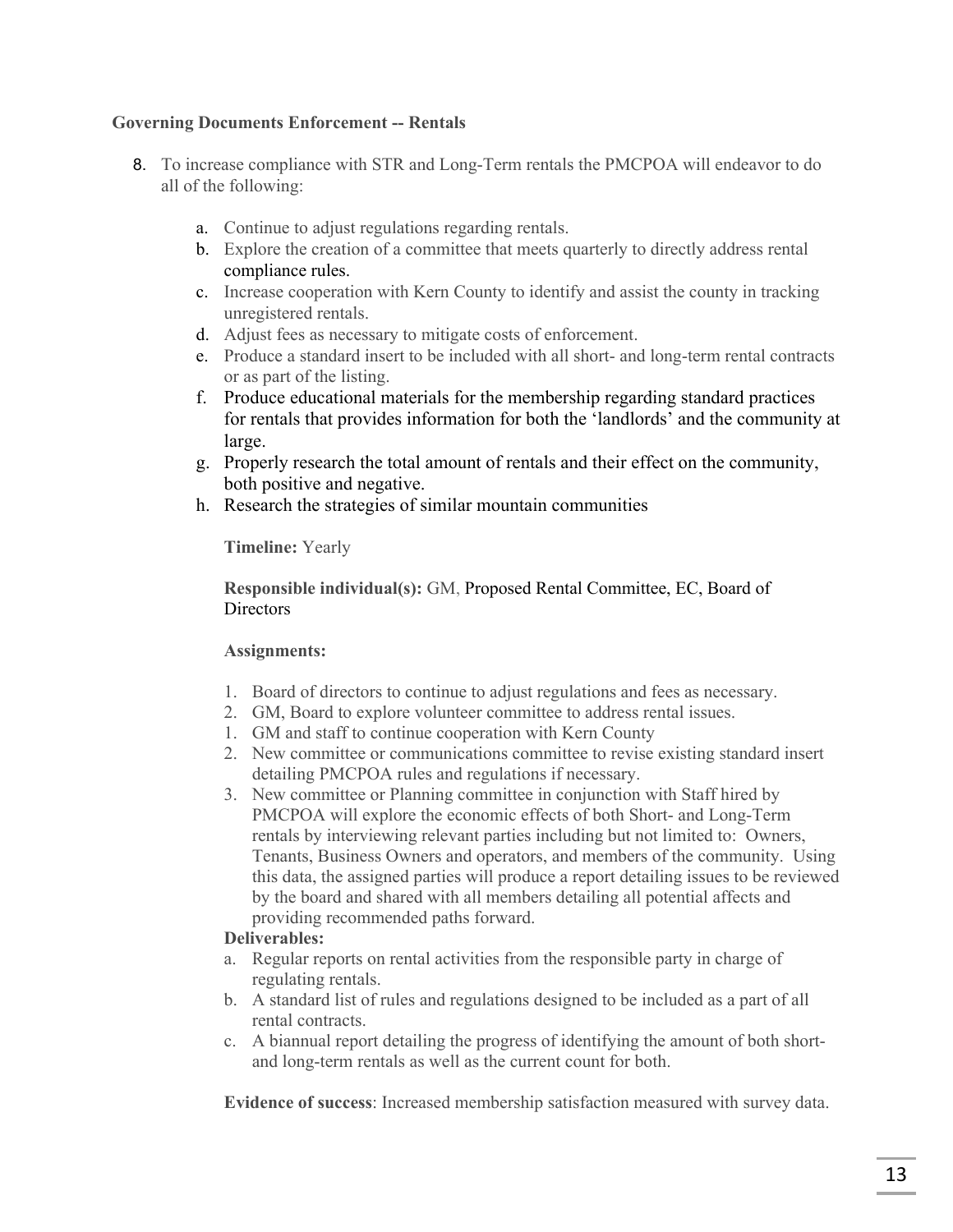#### **Governing Documents Enforcement -- Rentals**

- 8. To increase compliance with STR and Long-Term rentals the PMCPOA will endeavor to do all of the following:
	- a. Continue to adjust regulations regarding rentals.
	- b. Explore the creation of a committee that meets quarterly to directly address rental compliance rules.
	- c. Increase cooperation with Kern County to identify and assist the county in tracking unregistered rentals.
	- d. Adjust fees as necessary to mitigate costs of enforcement.
	- e. Produce a standard insert to be included with all short- and long-term rental contracts or as part of the listing.
	- f. Produce educational materials for the membership regarding standard practices for rentals that provides information for both the 'landlords' and the community at large.
	- g. Properly research the total amount of rentals and their effect on the community, both positive and negative.
	- h. Research the strategies of similar mountain communities

**Timeline:** Yearly

#### **Responsible individual(s):** GM, Proposed Rental Committee, EC, Board of **Directors**

#### **Assignments:**

- 1. Board of directors to continue to adjust regulations and fees as necessary.
- 2. GM, Board to explore volunteer committee to address rental issues.
- 1. GM and staff to continue cooperation with Kern County
- 2. New committee or communications committee to revise existing standard insert detailing PMCPOA rules and regulations if necessary.
- 3. New committee or Planning committee in conjunction with Staff hired by PMCPOA will explore the economic effects of both Short- and Long-Term rentals by interviewing relevant parties including but not limited to: Owners, Tenants, Business Owners and operators, and members of the community. Using this data, the assigned parties will produce a report detailing issues to be reviewed by the board and shared with all members detailing all potential affects and providing recommended paths forward.

#### **Deliverables:**

- a. Regular reports on rental activities from the responsible party in charge of regulating rentals.
- b. A standard list of rules and regulations designed to be included as a part of all rental contracts.
- c. A biannual report detailing the progress of identifying the amount of both shortand long-term rentals as well as the current count for both.

**Evidence of success**: Increased membership satisfaction measured with survey data.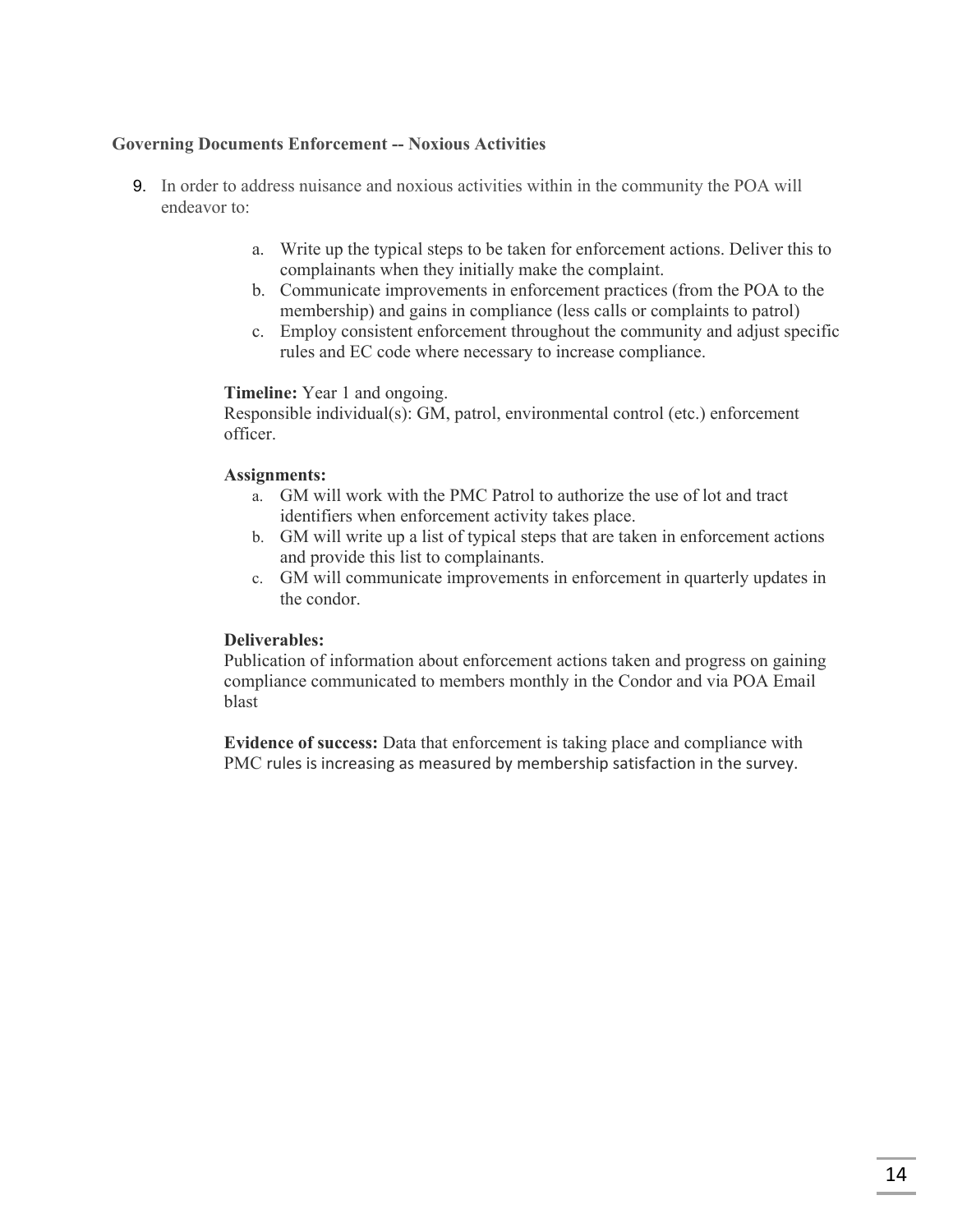#### **Governing Documents Enforcement -- Noxious Activities**

- 9. In order to address nuisance and noxious activities within in the community the POA will endeavor to:
	- a. Write up the typical steps to be taken for enforcement actions. Deliver this to complainants when they initially make the complaint.
	- b. Communicate improvements in enforcement practices (from the POA to the membership) and gains in compliance (less calls or complaints to patrol)
	- c. Employ consistent enforcement throughout the community and adjust specific rules and EC code where necessary to increase compliance.

#### **Timeline:** Year 1 and ongoing.

Responsible individual(s): GM, patrol, environmental control (etc.) enforcement officer.

#### **Assignments:**

- a. GM will work with the PMC Patrol to authorize the use of lot and tract identifiers when enforcement activity takes place.
- b. GM will write up a list of typical steps that are taken in enforcement actions and provide this list to complainants.
- c. GM will communicate improvements in enforcement in quarterly updates in the condor.

#### **Deliverables:**

Publication of information about enforcement actions taken and progress on gaining compliance communicated to members monthly in the Condor and via POA Email blast

**Evidence of success:** Data that enforcement is taking place and compliance with PMC rules is increasing as measured by membership satisfaction in the survey.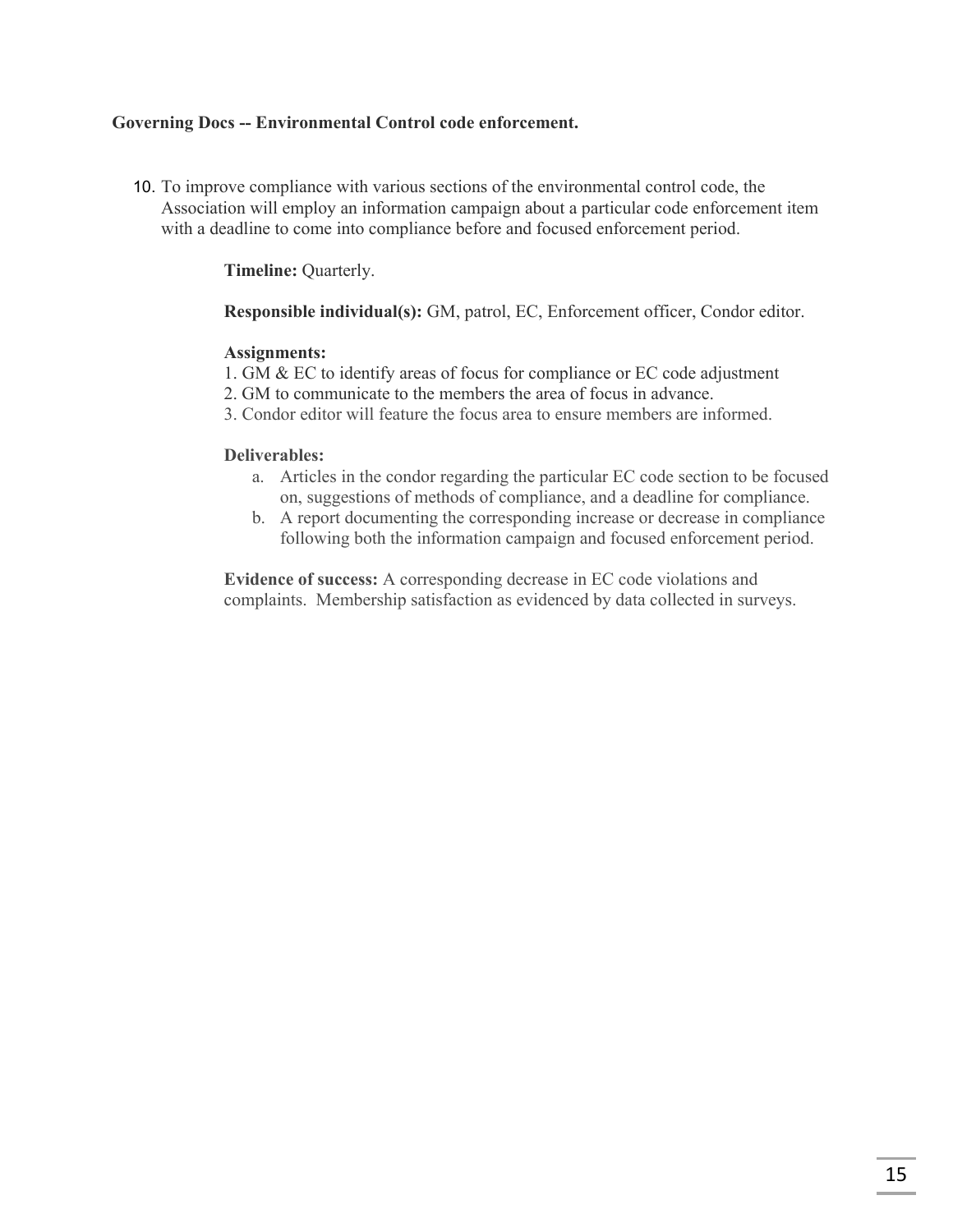#### **Governing Docs -- Environmental Control code enforcement.**

10. To improve compliance with various sections of the environmental control code, the Association will employ an information campaign about a particular code enforcement item with a deadline to come into compliance before and focused enforcement period.

**Timeline:** Quarterly.

**Responsible individual(s):** GM, patrol, EC, Enforcement officer, Condor editor.

#### **Assignments:**

- 1. GM & EC to identify areas of focus for compliance or EC code adjustment
- 2. GM to communicate to the members the area of focus in advance.
- 3. Condor editor will feature the focus area to ensure members are informed.

#### **Deliverables:**

- a. Articles in the condor regarding the particular EC code section to be focused on, suggestions of methods of compliance, and a deadline for compliance.
- b. A report documenting the corresponding increase or decrease in compliance following both the information campaign and focused enforcement period.

**Evidence of success:** A corresponding decrease in EC code violations and complaints. Membership satisfaction as evidenced by data collected in surveys.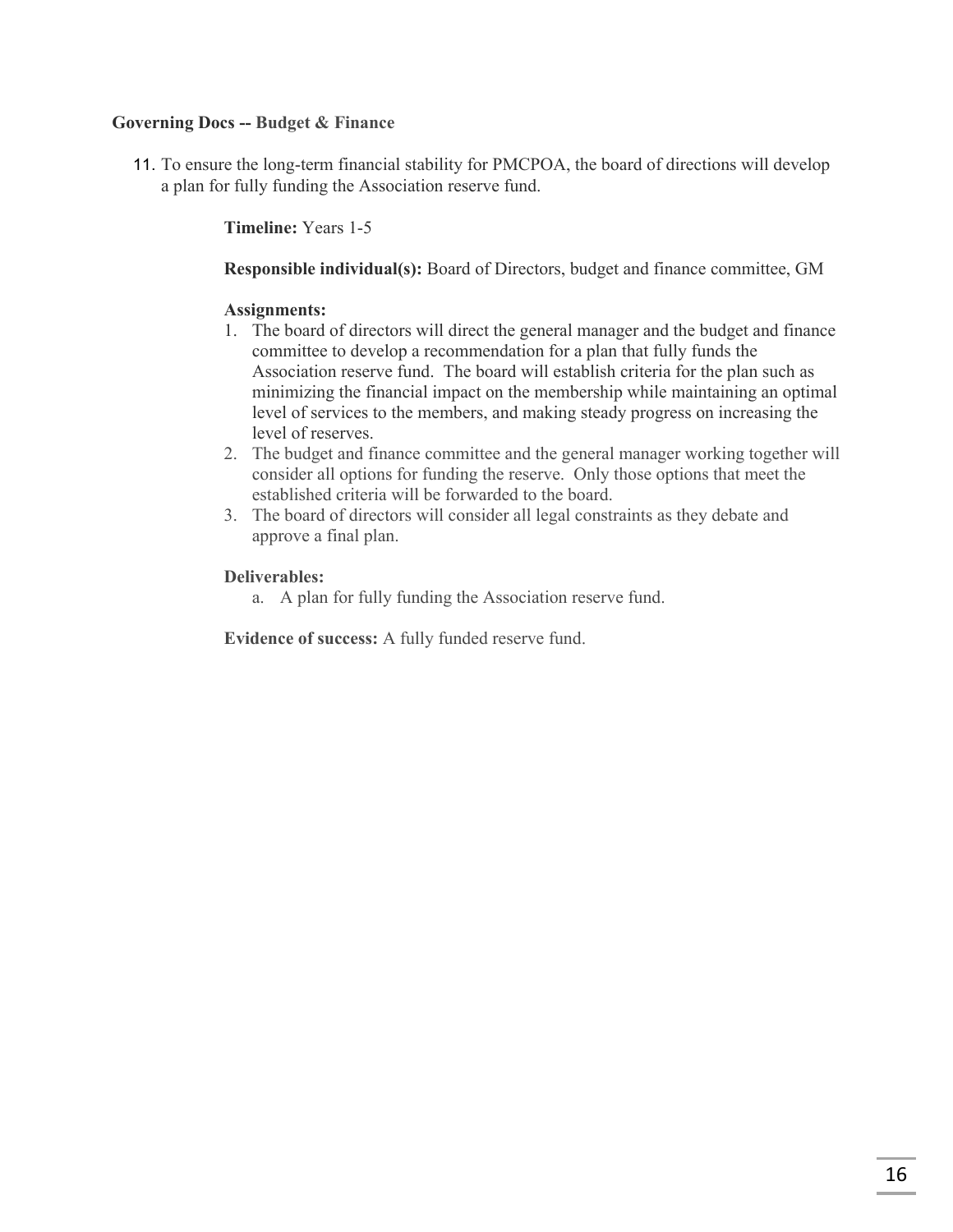#### **Governing Docs -- Budget & Finance**

11. To ensure the long-term financial stability for PMCPOA, the board of directions will develop a plan for fully funding the Association reserve fund.

**Timeline:** Years 1-5

**Responsible individual(s):** Board of Directors, budget and finance committee, GM

#### **Assignments:**

- 1. The board of directors will direct the general manager and the budget and finance committee to develop a recommendation for a plan that fully funds the Association reserve fund. The board will establish criteria for the plan such as minimizing the financial impact on the membership while maintaining an optimal level of services to the members, and making steady progress on increasing the level of reserves.
- 2. The budget and finance committee and the general manager working together will consider all options for funding the reserve. Only those options that meet the established criteria will be forwarded to the board.
- 3. The board of directors will consider all legal constraints as they debate and approve a final plan.

#### **Deliverables:**

a. A plan for fully funding the Association reserve fund.

**Evidence of success:** A fully funded reserve fund.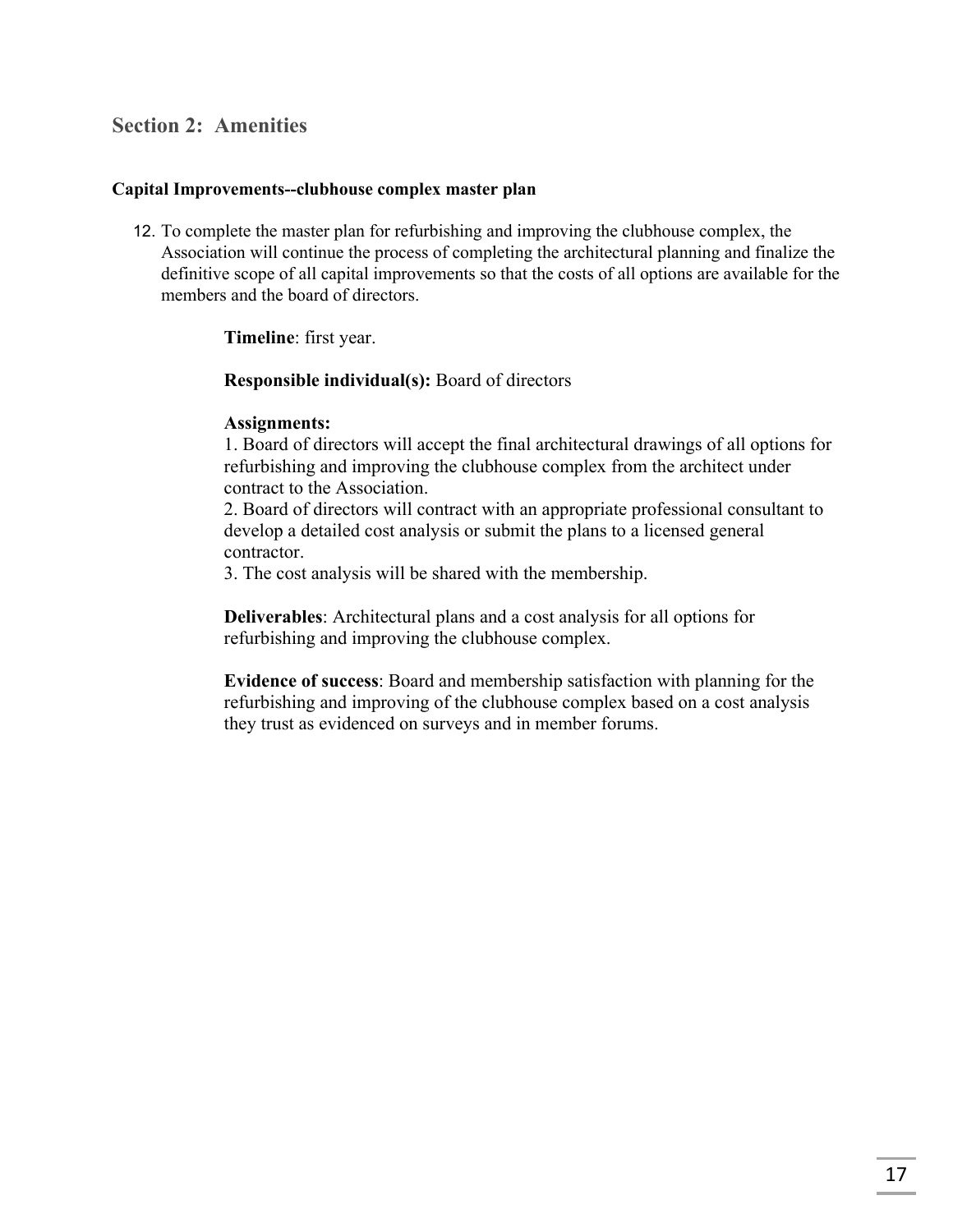## **Section 2: Amenities**

#### **Capital Improvements--clubhouse complex master plan**

12. To complete the master plan for refurbishing and improving the clubhouse complex, the Association will continue the process of completing the architectural planning and finalize the definitive scope of all capital improvements so that the costs of all options are available for the members and the board of directors.

#### **Timeline**: first year.

#### **Responsible individual(s):** Board of directors

#### **Assignments:**

1. Board of directors will accept the final architectural drawings of all options for refurbishing and improving the clubhouse complex from the architect under contract to the Association.

2. Board of directors will contract with an appropriate professional consultant to develop a detailed cost analysis or submit the plans to a licensed general contractor.

3. The cost analysis will be shared with the membership.

**Deliverables**: Architectural plans and a cost analysis for all options for refurbishing and improving the clubhouse complex.

**Evidence of success**: Board and membership satisfaction with planning for the refurbishing and improving of the clubhouse complex based on a cost analysis they trust as evidenced on surveys and in member forums.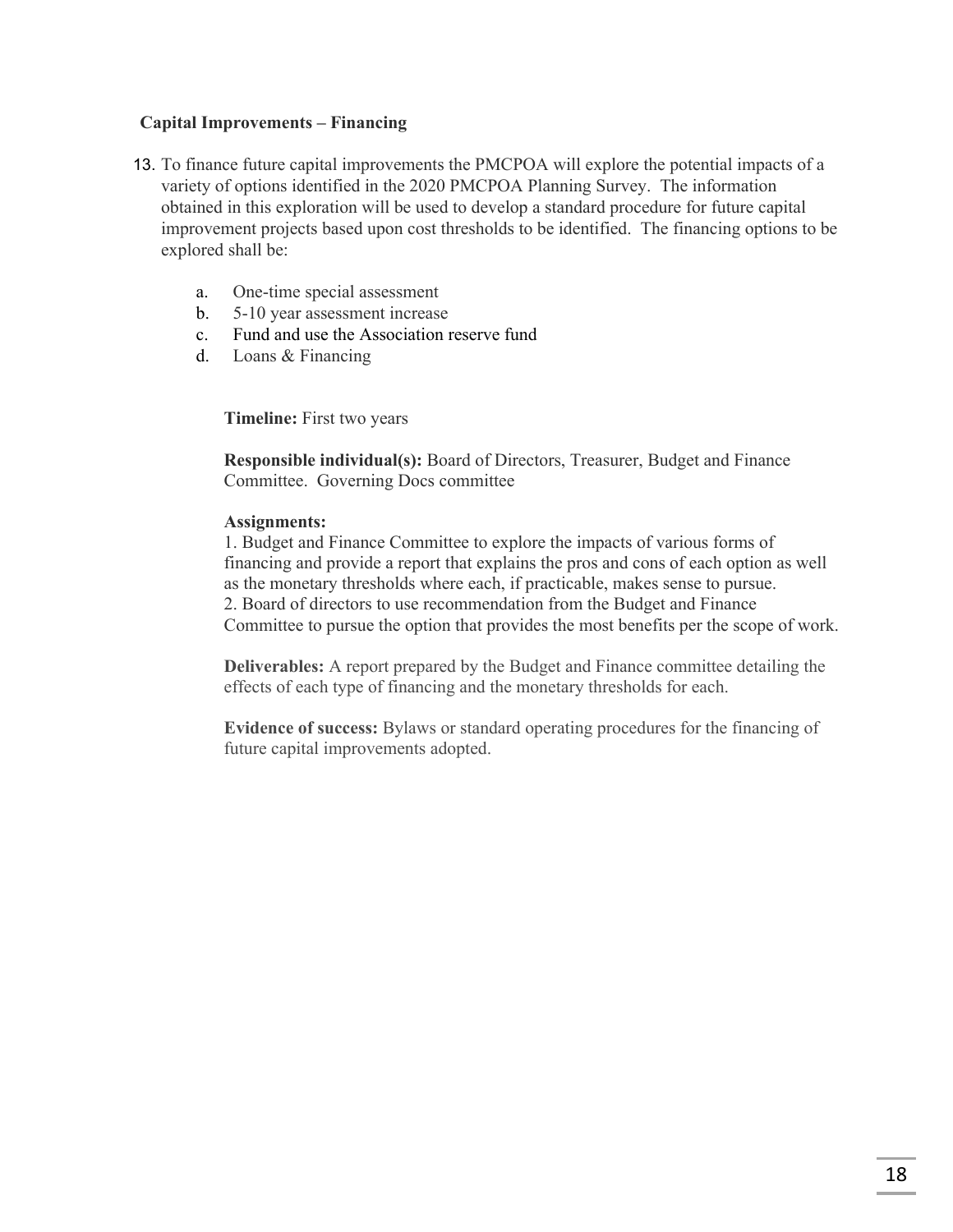#### **Capital Improvements – Financing**

- 13. To finance future capital improvements the PMCPOA will explore the potential impacts of a variety of options identified in the 2020 PMCPOA Planning Survey. The information obtained in this exploration will be used to develop a standard procedure for future capital improvement projects based upon cost thresholds to be identified. The financing options to be explored shall be:
	- a. One-time special assessment
	- b. 5-10 year assessment increase
	- c. Fund and use the Association reserve fund
	- d. Loans & Financing

**Timeline:** First two years

**Responsible individual(s):** Board of Directors, Treasurer, Budget and Finance Committee. Governing Docs committee

#### **Assignments:**

1. Budget and Finance Committee to explore the impacts of various forms of financing and provide a report that explains the pros and cons of each option as well as the monetary thresholds where each, if practicable, makes sense to pursue. 2. Board of directors to use recommendation from the Budget and Finance Committee to pursue the option that provides the most benefits per the scope of work.

**Deliverables:** A report prepared by the Budget and Finance committee detailing the effects of each type of financing and the monetary thresholds for each.

**Evidence of success:** Bylaws or standard operating procedures for the financing of future capital improvements adopted.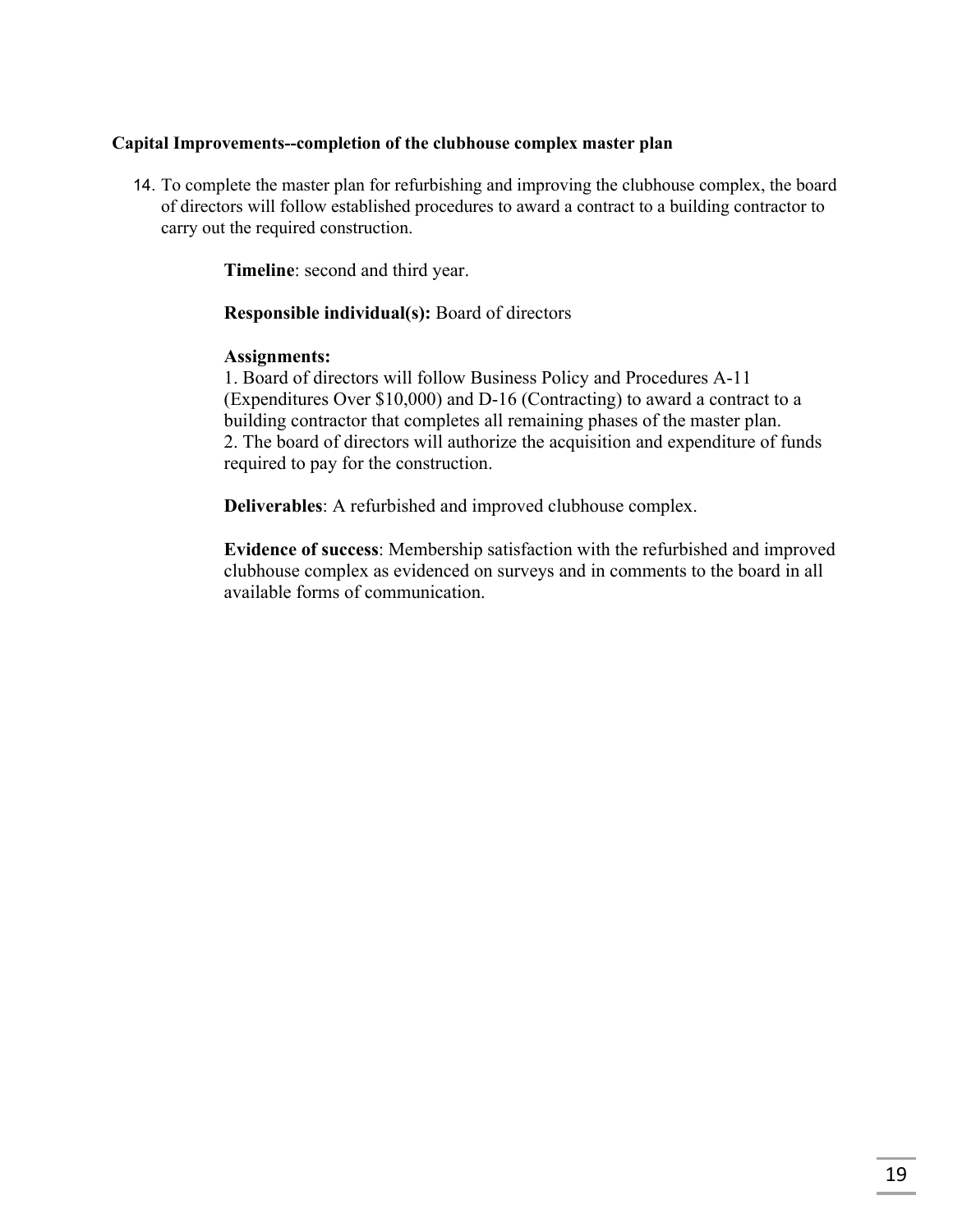#### **Capital Improvements--completion of the clubhouse complex master plan**

14. To complete the master plan for refurbishing and improving the clubhouse complex, the board of directors will follow established procedures to award a contract to a building contractor to carry out the required construction.

**Timeline**: second and third year.

#### **Responsible individual(s):** Board of directors

#### **Assignments:**

1. Board of directors will follow Business Policy and Procedures A-11 (Expenditures Over \$10,000) and D-16 (Contracting) to award a contract to a building contractor that completes all remaining phases of the master plan. 2. The board of directors will authorize the acquisition and expenditure of funds required to pay for the construction.

**Deliverables**: A refurbished and improved clubhouse complex.

**Evidence of success**: Membership satisfaction with the refurbished and improved clubhouse complex as evidenced on surveys and in comments to the board in all available forms of communication.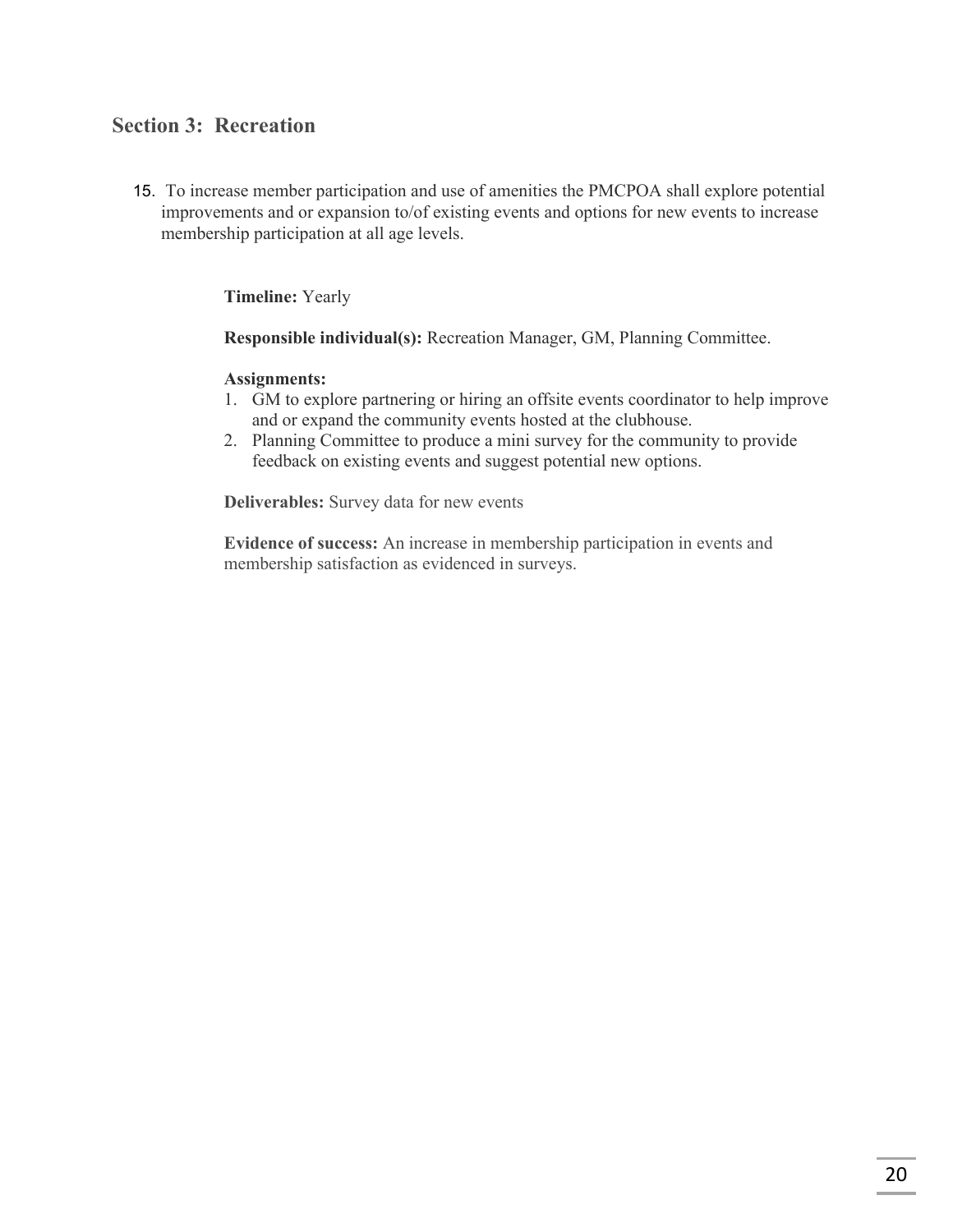## **Section 3: Recreation**

15. To increase member participation and use of amenities the PMCPOA shall explore potential improvements and or expansion to/of existing events and options for new events to increase membership participation at all age levels.

**Timeline:** Yearly

**Responsible individual(s):** Recreation Manager, GM, Planning Committee.

#### **Assignments:**

- 1. GM to explore partnering or hiring an offsite events coordinator to help improve and or expand the community events hosted at the clubhouse.
- 2. Planning Committee to produce a mini survey for the community to provide feedback on existing events and suggest potential new options.

**Deliverables:** Survey data for new events

**Evidence of success:** An increase in membership participation in events and membership satisfaction as evidenced in surveys.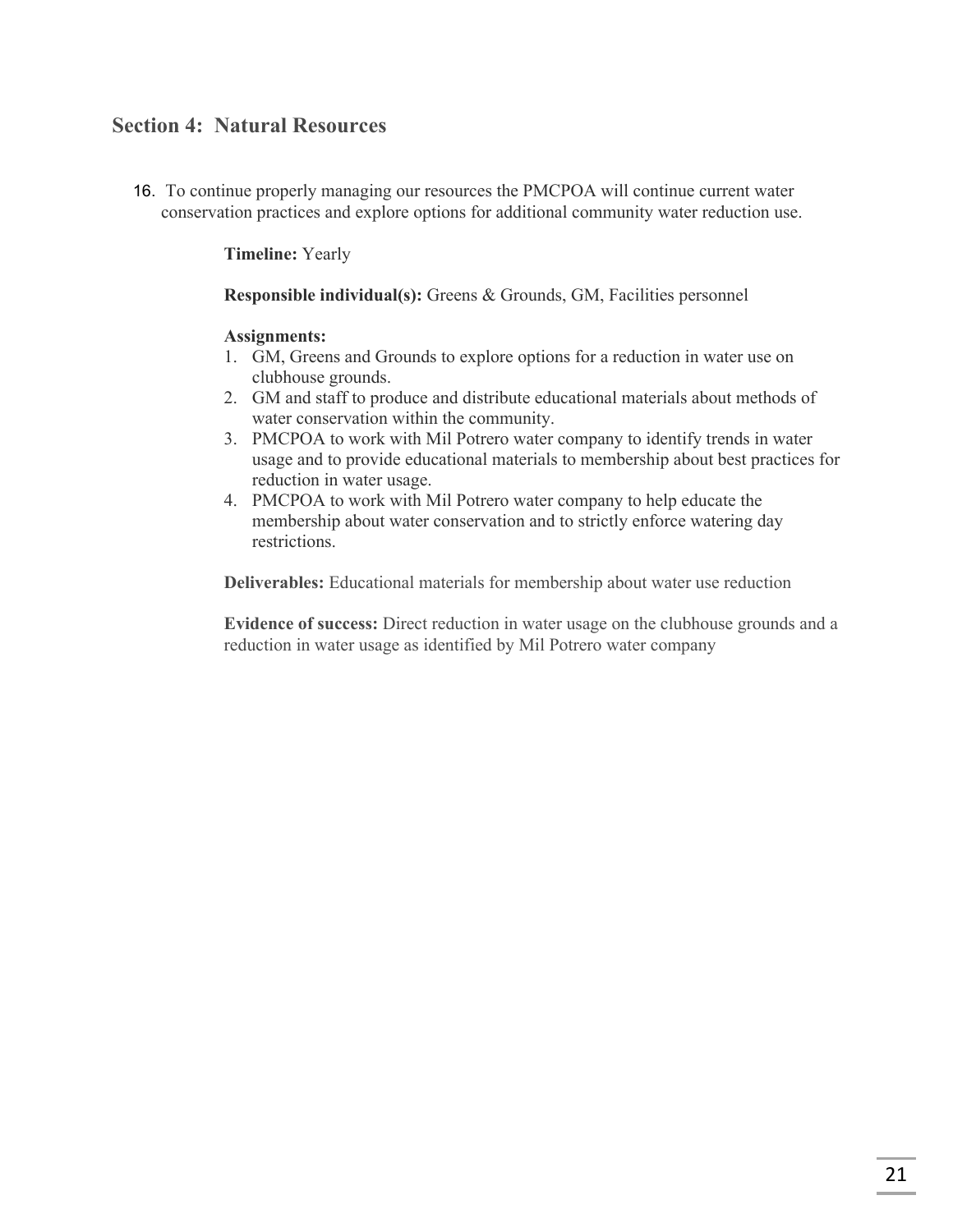## **Section 4: Natural Resources**

16. To continue properly managing our resources the PMCPOA will continue current water conservation practices and explore options for additional community water reduction use.

**Timeline:** Yearly

**Responsible individual(s):** Greens & Grounds, GM, Facilities personnel

#### **Assignments:**

- 1. GM, Greens and Grounds to explore options for a reduction in water use on clubhouse grounds.
- 2. GM and staff to produce and distribute educational materials about methods of water conservation within the community.
- 3. PMCPOA to work with Mil Potrero water company to identify trends in water usage and to provide educational materials to membership about best practices for reduction in water usage.
- 4. PMCPOA to work with Mil Potrero water company to help educate the membership about water conservation and to strictly enforce watering day restrictions.

**Deliverables:** Educational materials for membership about water use reduction

**Evidence of success:** Direct reduction in water usage on the clubhouse grounds and a reduction in water usage as identified by Mil Potrero water company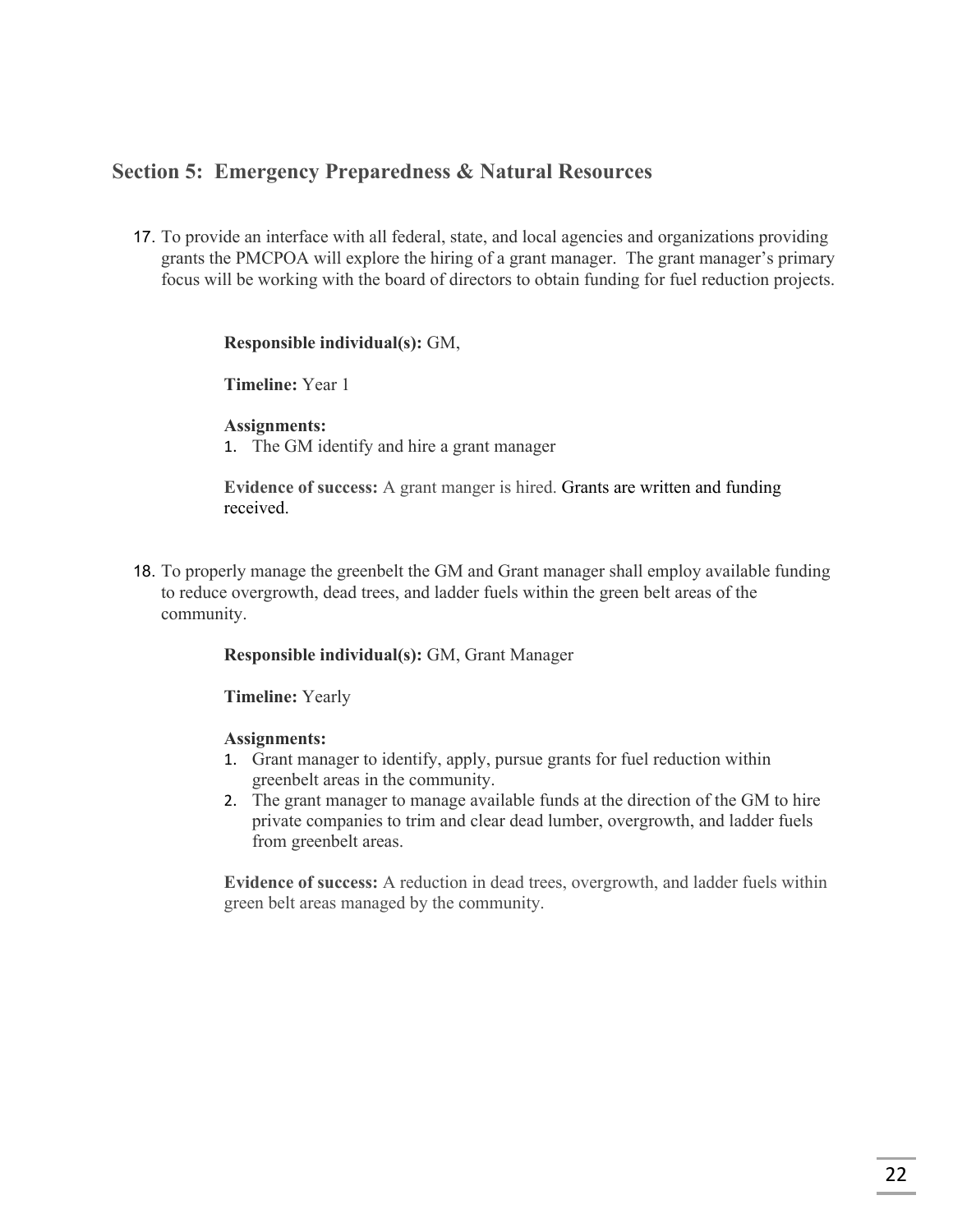## **Section 5: Emergency Preparedness & Natural Resources**

17. To provide an interface with all federal, state, and local agencies and organizations providing grants the PMCPOA will explore the hiring of a grant manager. The grant manager's primary focus will be working with the board of directors to obtain funding for fuel reduction projects.

#### **Responsible individual(s):** GM,

**Timeline:** Year 1

#### **Assignments:**

1. The GM identify and hire a grant manager

**Evidence of success:** A grant manger is hired. Grants are written and funding received.

18. To properly manage the greenbelt the GM and Grant manager shall employ available funding to reduce overgrowth, dead trees, and ladder fuels within the green belt areas of the community.

#### **Responsible individual(s):** GM, Grant Manager

**Timeline:** Yearly

#### **Assignments:**

- 1. Grant manager to identify, apply, pursue grants for fuel reduction within greenbelt areas in the community.
- 2. The grant manager to manage available funds at the direction of the GM to hire private companies to trim and clear dead lumber, overgrowth, and ladder fuels from greenbelt areas.

**Evidence of success:** A reduction in dead trees, overgrowth, and ladder fuels within green belt areas managed by the community.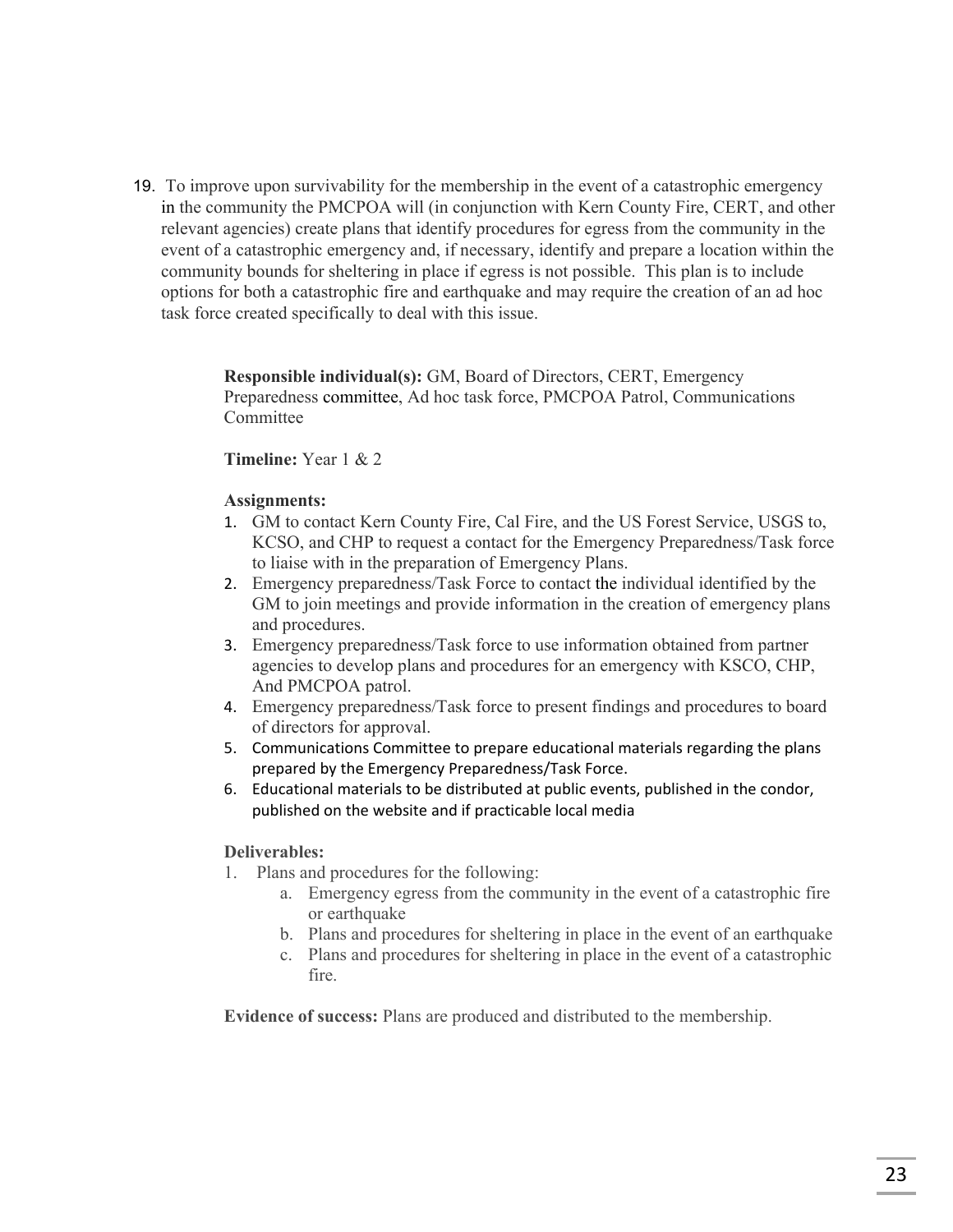19. To improve upon survivability for the membership in the event of a catastrophic emergency in the community the PMCPOA will (in conjunction with Kern County Fire, CERT, and other relevant agencies) create plans that identify procedures for egress from the community in the event of a catastrophic emergency and, if necessary, identify and prepare a location within the community bounds for sheltering in place if egress is not possible. This plan is to include options for both a catastrophic fire and earthquake and may require the creation of an ad hoc task force created specifically to deal with this issue.

> **Responsible individual(s):** GM, Board of Directors, CERT, Emergency Preparedness committee, Ad hoc task force, PMCPOA Patrol, Communications Committee

#### **Timeline:** Year 1 & 2

#### **Assignments:**

- 1. GM to contact Kern County Fire, Cal Fire, and the US Forest Service, USGS to, KCSO, and CHP to request a contact for the Emergency Preparedness/Task force to liaise with in the preparation of Emergency Plans.
- 2. Emergency preparedness/Task Force to contact the individual identified by the GM to join meetings and provide information in the creation of emergency plans and procedures.
- 3. Emergency preparedness/Task force to use information obtained from partner agencies to develop plans and procedures for an emergency with KSCO, CHP, And PMCPOA patrol.
- 4. Emergency preparedness/Task force to present findings and procedures to board of directors for approval.
- 5. Communications Committee to prepare educational materials regarding the plans prepared by the Emergency Preparedness/Task Force.
- 6. Educational materials to be distributed at public events, published in the condor, published on the website and if practicable local media

#### **Deliverables:**

- 1. Plans and procedures for the following:
	- a. Emergency egress from the community in the event of a catastrophic fire or earthquake
	- b. Plans and procedures for sheltering in place in the event of an earthquake
	- c. Plans and procedures for sheltering in place in the event of a catastrophic fire.

**Evidence of success:** Plans are produced and distributed to the membership.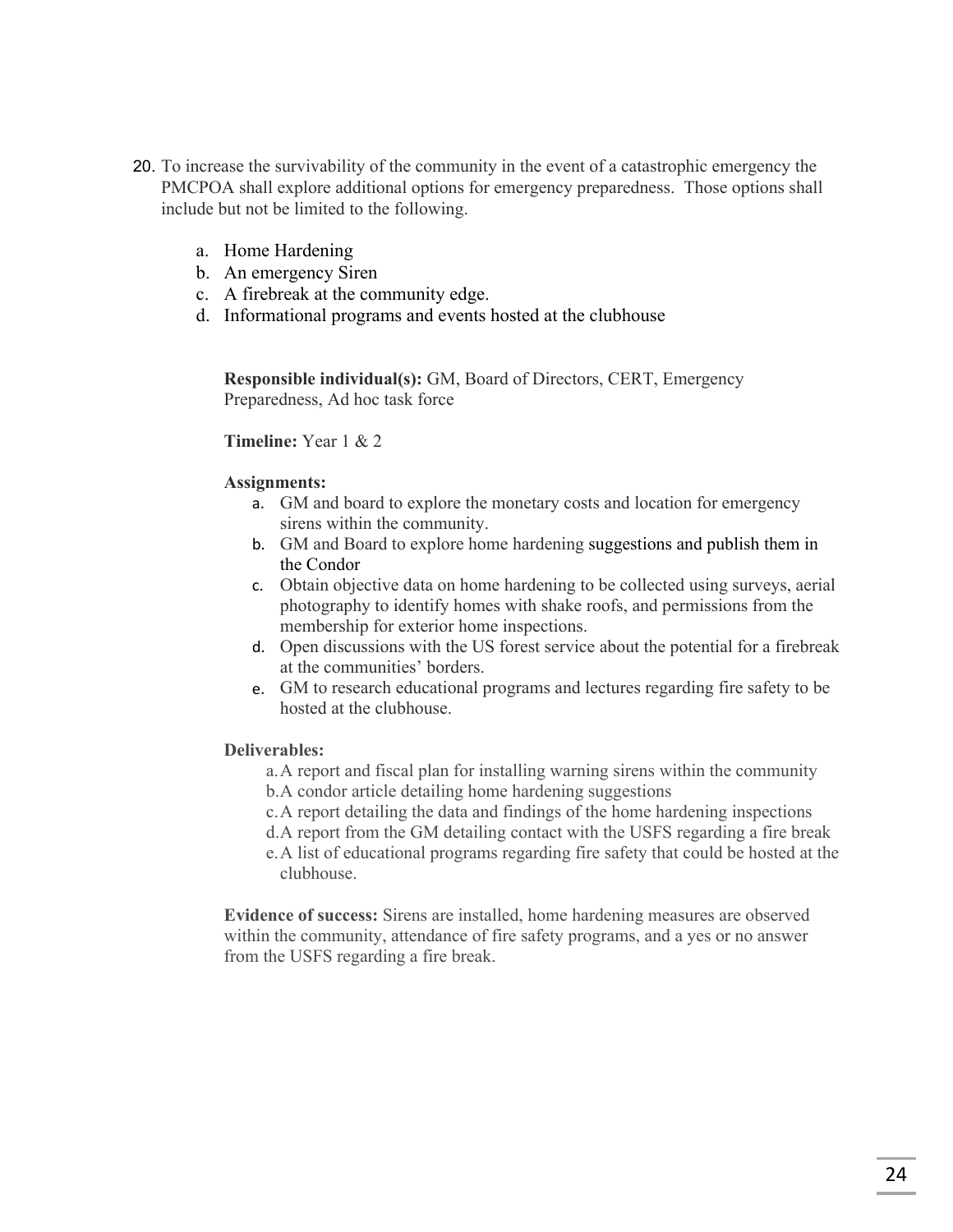- 20. To increase the survivability of the community in the event of a catastrophic emergency the PMCPOA shall explore additional options for emergency preparedness. Those options shall include but not be limited to the following.
	- a. Home Hardening
	- b. An emergency Siren
	- c. A firebreak at the community edge.
	- d. Informational programs and events hosted at the clubhouse

**Responsible individual(s):** GM, Board of Directors, CERT, Emergency Preparedness, Ad hoc task force

**Timeline:** Year 1 & 2

#### **Assignments:**

- a. GM and board to explore the monetary costs and location for emergency sirens within the community.
- b. GM and Board to explore home hardening suggestions and publish them in the Condor
- c. Obtain objective data on home hardening to be collected using surveys, aerial photography to identify homes with shake roofs, and permissions from the membership for exterior home inspections.
- d. Open discussions with the US forest service about the potential for a firebreak at the communities' borders.
- e. GM to research educational programs and lectures regarding fire safety to be hosted at the clubhouse.

#### **Deliverables:**

- a.A report and fiscal plan for installing warning sirens within the community b.A condor article detailing home hardening suggestions
- c.A report detailing the data and findings of the home hardening inspections d.A report from the GM detailing contact with the USFS regarding a fire break
- e.A list of educational programs regarding fire safety that could be hosted at the clubhouse.

**Evidence of success:** Sirens are installed, home hardening measures are observed within the community, attendance of fire safety programs, and a yes or no answer from the USFS regarding a fire break.